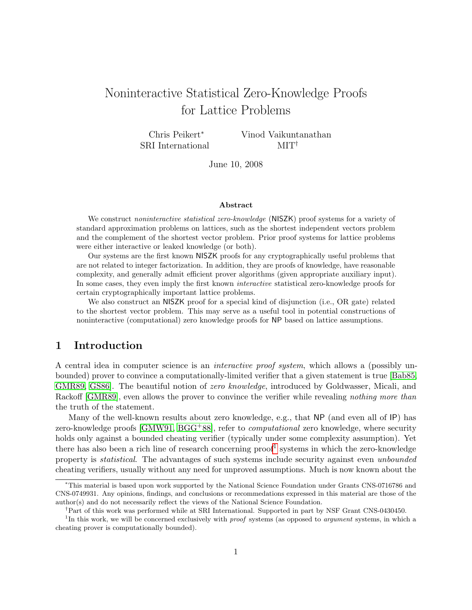# Noninteractive Statistical Zero-Knowledge Proofs for Lattice Problems

Chris Peikert<sup>∗</sup> SRI International Vinod Vaikuntanathan MIT†

June 10, 2008

#### Abstract

We construct *noninteractive statistical zero-knowledge* (NISZK) proof systems for a variety of standard approximation problems on lattices, such as the shortest independent vectors problem and the complement of the shortest vector problem. Prior proof systems for lattice problems were either interactive or leaked knowledge (or both).

Our systems are the first known NISZK proofs for any cryptographically useful problems that are not related to integer factorization. In addition, they are proofs of knowledge, have reasonable complexity, and generally admit efficient prover algorithms (given appropriate auxiliary input). In some cases, they even imply the first known interactive statistical zero-knowledge proofs for certain cryptographically important lattice problems.

We also construct an NISZK proof for a special kind of disjunction (i.e., OR gate) related to the shortest vector problem. This may serve as a useful tool in potential constructions of noninteractive (computational) zero knowledge proofs for NP based on lattice assumptions.

# 1 Introduction

A central idea in computer science is an interactive proof system, which allows a (possibly unbounded) prover to convince a computationally-limited verifier that a given statement is true [\[Bab85,](#page-21-0) [GMR89,](#page-22-0) [GS86\]](#page-23-0). The beautiful notion of zero knowledge, introduced by Goldwasser, Micali, and Rackoff [\[GMR89\]](#page-22-0), even allows the prover to convince the verifier while revealing nothing more than the truth of the statement.

Many of the well-known results about zero knowledge, e.g., that NP (and even all of IP) has zero-knowledge proofs [\[GMW91,](#page-22-1) [BGG](#page-21-1)+88], refer to *computational* zero knowledge, where security holds only against a bounded cheating verifier (typically under some complexity assumption). Yet there has also been a rich line of research concerning proof<sup>[1](#page-0-0)</sup> systems in which the zero-knowledge property is statistical. The advantages of such systems include security against even unbounded cheating verifiers, usually without any need for unproved assumptions. Much is now known about the

<sup>∗</sup>This material is based upon work supported by the National Science Foundation under Grants CNS-0716786 and CNS-0749931. Any opinions, findings, and conclusions or recommedations expressed in this material are those of the author(s) and do not necessarily reflect the views of the National Science Foundation.

<span id="page-0-0"></span><sup>†</sup>Part of this work was performed while at SRI International. Supported in part by NSF Grant CNS-0430450.

<sup>&</sup>lt;sup>1</sup>In this work, we will be concerned exclusively with *proof* systems (as opposed to *argument* systems, in which a cheating prover is computationally bounded).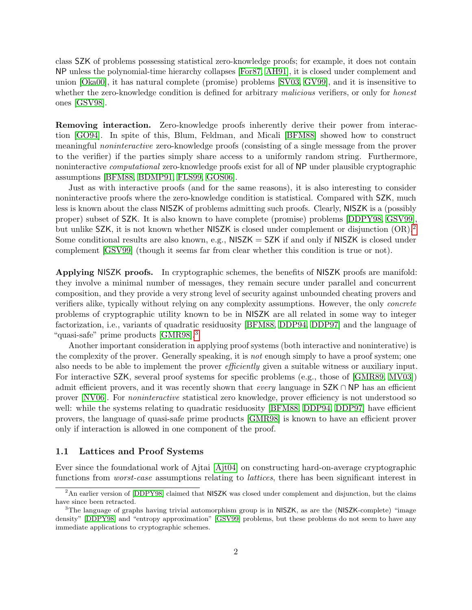class SZK of problems possessing statistical zero-knowledge proofs; for example, it does not contain NP unless the polynomial-time hierarchy collapses [\[For87,](#page-22-2) [AH91\]](#page-21-2), it is closed under complement and union [\[Oka00\]](#page-23-1), it has natural complete (promise) problems [\[SV03,](#page-23-2) [GV99\]](#page-23-3), and it is insensitive to whether the zero-knowledge condition is defined for arbitrary malicious verifiers, or only for honest ones [\[GSV98\]](#page-23-4).

Removing interaction. Zero-knowledge proofs inherently derive their power from interaction [\[GO94\]](#page-22-3). In spite of this, Blum, Feldman, and Micali [\[BFM88\]](#page-21-3) showed how to construct meaningful noninteractive zero-knowledge proofs (consisting of a single message from the prover to the verifier) if the parties simply share access to a uniformly random string. Furthermore, noninteractive *computational* zero-knowledge proofs exist for all of NP under plausible cryptographic assumptions [\[BFM88,](#page-21-3) [BDMP91,](#page-21-4) [FLS99,](#page-22-4) [GOS06\]](#page-22-5).

Just as with interactive proofs (and for the same reasons), it is also interesting to consider noninteractive proofs where the zero-knowledge condition is statistical. Compared with SZK, much less is known about the class NISZK of problems admitting such proofs. Clearly, NISZK is a (possibly proper) subset of SZK. It is also known to have complete (promise) problems [\[DDPY98,](#page-22-6) [GSV99\]](#page-23-5), but unlike SZK, it is not known whether NISZK is closed under complement or disjunction  $(OR)^2$  $(OR)^2$ Some conditional results are also known, e.g.,  $NISZK = SZK$  if and only if  $NISZK$  is closed under complement [\[GSV99\]](#page-23-5) (though it seems far from clear whether this condition is true or not).

Applying NISZK proofs. In cryptographic schemes, the benefits of NISZK proofs are manifold: they involve a minimal number of messages, they remain secure under parallel and concurrent composition, and they provide a very strong level of security against unbounded cheating provers and verifiers alike, typically without relying on any complexity assumptions. However, the only concrete problems of cryptographic utility known to be in NISZK are all related in some way to integer factorization, i.e., variants of quadratic residuosity [\[BFM88,](#page-21-3) [DDP94,](#page-22-7) [DDP97\]](#page-22-8) and the language of "quasi-safe" prime products [\[GMR98\]](#page-22-9).<sup>[3](#page-1-1)</sup>

Another important consideration in applying proof systems (both interactive and noninterative) is the complexity of the prover. Generally speaking, it is not enough simply to have a proof system; one also needs to be able to implement the prover efficiently given a suitable witness or auxiliary input. For interactive SZK, several proof systems for specific problems (e.g., those of [\[GMR89,](#page-22-0) [MV03\]](#page-23-6)) admit efficient provers, and it was recently shown that every language in  $SZK \cap NP$  has an efficient prover [\[NV06\]](#page-23-7). For noninteractive statistical zero knowledge, prover efficiency is not understood so well: while the systems relating to quadratic residuosity [\[BFM88,](#page-21-3) [DDP94,](#page-22-7) [DDP97\]](#page-22-8) have efficient provers, the language of quasi-safe prime products [\[GMR98\]](#page-22-9) is known to have an efficient prover only if interaction is allowed in one component of the proof.

#### 1.1 Lattices and Proof Systems

Ever since the foundational work of Ajtai [\[Ajt04\]](#page-21-5) on constructing hard-on-average cryptographic functions from *worst-case* assumptions relating to *lattices*, there has been significant interest in

<span id="page-1-0"></span><sup>&</sup>lt;sup>2</sup>An earlier version of [\[DDPY98\]](#page-22-6) claimed that NISZK was closed under complement and disjunction, but the claims have since been retracted.

<span id="page-1-1"></span><sup>&</sup>lt;sup>3</sup>The language of graphs having trivial automorphism group is in NISZK, as are the (NISZK-complete) "image density" [\[DDPY98\]](#page-22-6) and "entropy approximation" [\[GSV99\]](#page-23-5) problems, but these problems do not seem to have any immediate applications to cryptographic schemes.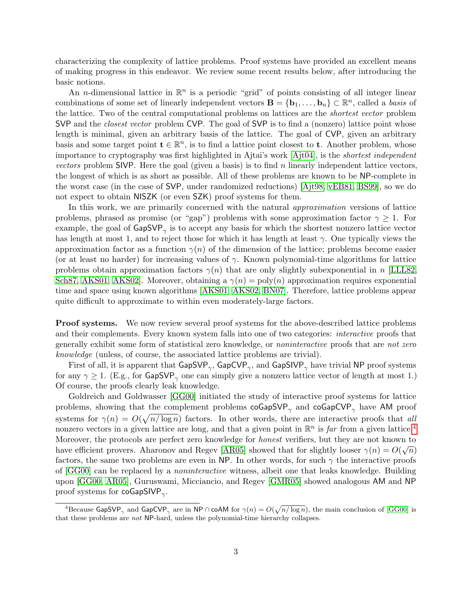characterizing the complexity of lattice problems. Proof systems have provided an excellent means of making progress in this endeavor. We review some recent results below, after introducing the basic notions.

An *n*-dimensional lattice in  $\mathbb{R}^n$  is a periodic "grid" of points consisting of all integer linear combinations of some set of linearly independent vectors  $\mathbf{B} = \{\mathbf{b}_1, \dots, \mathbf{b}_n\} \subset \mathbb{R}^n$ , called a basis of the lattice. Two of the central computational problems on lattices are the shortest vector problem SVP and the *closest vector* problem CVP. The goal of SVP is to find a (nonzero) lattice point whose length is minimal, given an arbitrary basis of the lattice. The goal of CVP, given an arbitrary basis and some target point  $\mathbf{t} \in \mathbb{R}^n$ , is to find a lattice point closest to **t**. Another problem, whose importance to cryptography was first highlighted in Ajtai's work [\[Ajt04\]](#page-21-5), is the shortest independent vectors problem SIVP. Here the goal (given a basis) is to find n linearly independent lattice vectors, the longest of which is as short as possible. All of these problems are known to be NP-complete in the worst case (in the case of SVP, under randomized reductions) [\[Ajt98,](#page-21-6) [vEB81,](#page-24-0) [BS99\]](#page-21-7), so we do not expect to obtain NISZK (or even SZK) proof systems for them.

In this work, we are primarily concerned with the natural *approximation* versions of lattice problems, phrased as promise (or "gap") problems with some approximation factor  $\gamma \geq 1$ . For example, the goal of  $\mathsf{GapSVP}_{\gamma}$  is to accept any basis for which the shortest nonzero lattice vector has length at most 1, and to reject those for which it has length at least  $\gamma$ . One typically views the approximation factor as a function  $\gamma(n)$  of the dimension of the lattice; problems become easier (or at least no harder) for increasing values of  $\gamma$ . Known polynomial-time algorithms for lattice problems obtain approximation factors  $\gamma(n)$  that are only slightly subexponential in n [\[LLL82,](#page-23-8) [Sch87,](#page-23-9) [AKS01,](#page-21-8) AKS02. Moreover, obtaining a  $\gamma(n) = \text{poly}(n)$  approximation requires exponential time and space using known algorithms [\[AKS01,](#page-21-8) [AKS02,](#page-21-9) [BN07\]](#page-21-10). Therefore, lattice problems appear quite difficult to approximate to within even moderately-large factors.

**Proof systems.** We now review several proof systems for the above-described lattice problems and their complements. Every known system falls into one of two categories: *interactive* proofs that generally exhibit some form of statistical zero knowledge, or noninteractive proofs that are not zero knowledge (unless, of course, the associated lattice problems are trivial).

First of all, it is apparent that  $\mathsf{GapSVP}_\gamma,$   $\mathsf{GapCVP}_\gamma,$  and  $\mathsf{GapSIVP}_\gamma$  have trivial NP proof systems for any  $\gamma \geq 1$ . (E.g., for GapSVP<sub> $\gamma$ </sub> one can simply give a nonzero lattice vector of length at most 1.) Of course, the proofs clearly leak knowledge.

Goldreich and Goldwasser [\[GG00\]](#page-22-10) initiated the study of interactive proof systems for lattice problems, showing that the complement problems  $\cosapSVP_{\gamma}$  and  $\cosapCVP_{\gamma}$  have AM proof systems for  $\gamma(n) = O(\sqrt{n/\log n})$  factors. In other words, there are interactive proofs that all nonzero vectors in a given lattice are long, and that a given point in  $\mathbb{R}^n$  is far from a given lattice.<sup>[4](#page-2-0)</sup> Moreover, the protocols are perfect zero knowledge for *honest* verifiers, but they are not known to have efficient provers. Aharonov and Regev [\[AR05\]](#page-21-11) showed that for slightly looser  $\gamma(n) = O(\sqrt{n})$ factors, the same two problems are even in NP. In other words, for such  $\gamma$  the interactive proofs of [\[GG00\]](#page-22-10) can be replaced by a noninteractive witness, albeit one that leaks knowledge. Building upon [\[GG00,](#page-22-10) [AR05\]](#page-21-11), Guruswami, Micciancio, and Regev [\[GMR05\]](#page-22-11) showed analogous AM and NP proof systems for  $\mathsf{coGapSIVP}_\gamma.$ 

<span id="page-2-0"></span> $^4$ Because GapSVP<sub> $_\gamma$ </sub> and GapCVP $_\gamma$  are in NP ∩ coAM for  $\gamma(n)=O(\sqrt{n/\log n}) ,$  the main conclusion of [\[GG00\]](#page-22-10) is that these problems are not NP-hard, unless the polynomial-time hierarchy collapses.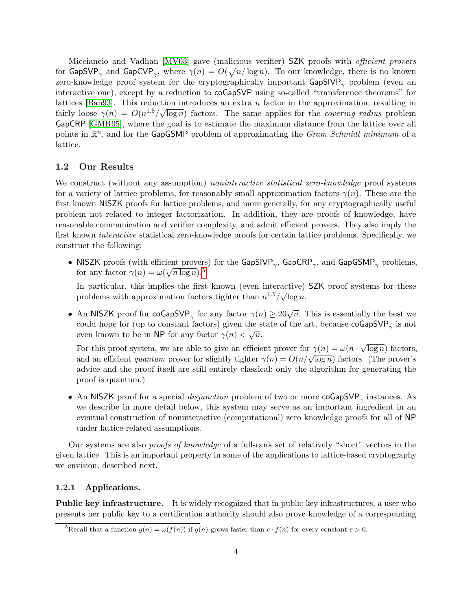Micciancio and Vadhan [\[MV03\]](#page-23-6) gave (malicious verifier) SZK proofs with efficient provers for  $\mathsf{GapSVP}_{\gamma}$  and  $\mathsf{GapCVP}_{\gamma},$  where  $\gamma(n) = O(\sqrt{n/\log n}).$  To our knowledge, there is no known zero-knowledge proof system for the cryptographically important  $\mathsf{GapSIVP}_{\gamma}$  problem (even an interactive one), except by a reduction to coGapSVP using so-called "transference theorems" for lattices [\[Ban93\]](#page-21-12). This reduction introduces an extra  $n$  factor in the approximation, resulting in fairly loose  $\gamma(n) = O(n^{1.5}/\sqrt{n})$  $\overline{\log n}$ ) factors. The same applies for the *covering radius* problem GapCRP [\[GMR05\]](#page-22-11), where the goal is to estimate the maximum distance from the lattice over all points in  $\mathbb{R}^n$ , and for the GapGSMP problem of approximating the *Gram-Schmidt minimum* of a lattice.

# 1.2 Our Results

We construct (without any assumption) *noninteractive statistical zero-knowledge* proof systems for a variety of lattice problems, for reasonably small approximation factors  $\gamma(n)$ . These are the first known NISZK proofs for lattice problems, and more generally, for any cryptographically useful problem not related to integer factorization. In addition, they are proofs of knowledge, have reasonable communication and verifier complexity, and admit efficient provers. They also imply the first known interactive statistical zero-knowledge proofs for certain lattice problems. Specifically, we construct the following:

• NISZK proofs (with efficient provers) for the GapSIVP<sub> $\gamma$ </sub>, GapCRP<sub> $\gamma$ </sub>, and GapGSMP<sub> $\gamma$ </sub> problems, for any factor  $\gamma(n) = \omega(\sqrt{n \log n})$ .<sup>[5](#page-3-0)</sup>

In particular, this implies the first known (even interactive) SZK proof systems for these In particular, this implies the first known (even interaction factors tighter than  $n^{1.5}/\sqrt{ }$  $\overline{\log n}$ .

• An NISZK proof for coGapSVP<sub> $\gamma$ </sub> for any factor  $\gamma(n) \geq 20\sqrt{n}$ . This is essentially the best we could hope for (up to constant factors) given the state of the art, because  $\cos\theta \cdot \cos\theta \cdot \cos\theta$  is not even known to be in NP for any factor  $\gamma(n) < \sqrt{n}$ .

For this proof system, we are able to give an efficient prover for  $\gamma(n) = \omega(n \cdot$ √  $\overline{\log n}$ ) factors, For this proof system, we are able to give an emclement prover for  $\gamma(n) = \omega(n \cdot \sqrt{\log n})$  factors.<br>and an efficient *quantum* prover for slightly tighter  $\gamma(n) = O(n/\sqrt{\log n})$  factors. (The prover's advice and the proof itself are still entirely classical; only the algorithm for generating the proof is quantum.)

• An NISZK proof for a special *disjunction* problem of two or more  $\cosapSVP_{\gamma}$  instances. As we describe in more detail below, this system may serve as an important ingredient in an eventual construction of noninteractive (computational) zero knowledge proofs for all of NP under lattice-related assumptions.

Our systems are also proofs of knowledge of a full-rank set of relatively "short" vectors in the given lattice. This is an important property in some of the applications to lattice-based cryptography we envision, described next.

#### 1.2.1 Applications.

Public key infrastructure. It is widely recognized that in public-key infrastructures, a user who presents her public key to a certification authority should also prove knowledge of a corresponding

<span id="page-3-0"></span><sup>&</sup>lt;sup>5</sup>Recall that a function  $g(n) = \omega(f(n))$  if  $g(n)$  grows faster than  $c \cdot f(n)$  for every constant  $c > 0$ .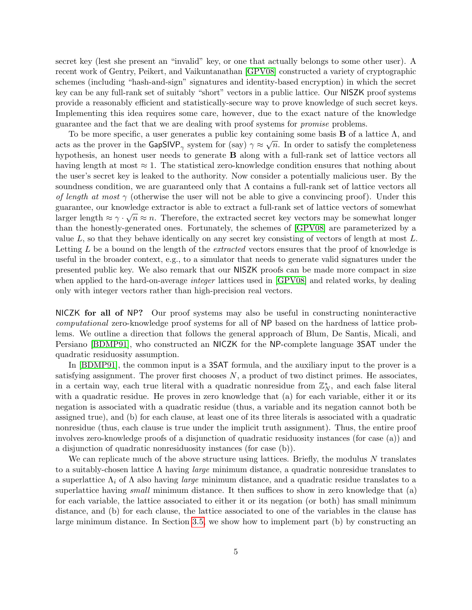secret key (lest she present an "invalid" key, or one that actually belongs to some other user). A recent work of Gentry, Peikert, and Vaikuntanathan [\[GPV08\]](#page-22-12) constructed a variety of cryptographic schemes (including "hash-and-sign" signatures and identity-based encryption) in which the secret key can be any full-rank set of suitably "short" vectors in a public lattice. Our NISZK proof systems provide a reasonably efficient and statistically-secure way to prove knowledge of such secret keys. Implementing this idea requires some care, however, due to the exact nature of the knowledge guarantee and the fact that we are dealing with proof systems for promise problems.

To be more specific, a user generates a public key containing some basis **B** of a lattice  $\Lambda$ , and acts as the prover in the GapSIVP<sub> $\gamma$ </sub> system for (say)  $\gamma \approx \sqrt{n}$ . In order to satisfy the completeness hypothesis, an honest user needs to generate B along with a full-rank set of lattice vectors all having length at most  $\approx 1$ . The statistical zero-knowledge condition ensures that nothing about the user's secret key is leaked to the authority. Now consider a potentially malicious user. By the soundness condition, we are guaranteed only that  $\Lambda$  contains a full-rank set of lattice vectors all of length at most  $\gamma$  (otherwise the user will not be able to give a convincing proof). Under this guarantee, our knowledge extractor is able to extract a full-rank set of lattice vectors of somewhat larger length  $\approx \gamma \cdot \sqrt{n} \approx n$ . Therefore, the extracted secret key vectors may be somewhat longer than the honestly-generated ones. Fortunately, the schemes of [\[GPV08\]](#page-22-12) are parameterized by a value  $L$ , so that they behave identically on any secret key consisting of vectors of length at most  $L$ . Letting L be a bound on the length of the *extracted* vectors ensures that the proof of knowledge is useful in the broader context, e.g., to a simulator that needs to generate valid signatures under the presented public key. We also remark that our NISZK proofs can be made more compact in size when applied to the hard-on-average *integer* lattices used in [\[GPV08\]](#page-22-12) and related works, by dealing only with integer vectors rather than high-precision real vectors.

NICZK for all of NP? Our proof systems may also be useful in constructing noninteractive computational zero-knowledge proof systems for all of NP based on the hardness of lattice problems. We outline a direction that follows the general approach of Blum, De Santis, Micali, and Persiano [\[BDMP91\]](#page-21-4), who constructed an NICZK for the NP-complete language 3SAT under the quadratic residuosity assumption.

In [\[BDMP91\]](#page-21-4), the common input is a 3SAT formula, and the auxiliary input to the prover is a satisfying assignment. The prover first chooses  $N$ , a product of two distinct primes. He associates, in a certain way, each true literal with a quadratic nonresidue from  $\mathbb{Z}_N^*$ , and each false literal with a quadratic residue. He proves in zero knowledge that (a) for each variable, either it or its negation is associated with a quadratic residue (thus, a variable and its negation cannot both be assigned true), and (b) for each clause, at least one of its three literals is associated with a quadratic nonresidue (thus, each clause is true under the implicit truth assignment). Thus, the entire proof involves zero-knowledge proofs of a disjunction of quadratic residuosity instances (for case (a)) and a disjunction of quadratic nonresiduosity instances (for case (b)).

We can replicate much of the above structure using lattices. Briefly, the modulus N translates to a suitably-chosen lattice  $\Lambda$  having *large* minimum distance, a quadratic nonresidue translates to a superlattice  $\Lambda_i$  of  $\Lambda$  also having *large* minimum distance, and a quadratic residue translates to a superlattice having *small* minimum distance. It then suffices to show in zero knowledge that (a) for each variable, the lattice associated to either it or its negation (or both) has small minimum distance, and (b) for each clause, the lattice associated to one of the variables in the clause has large minimum distance. In Section [3.5,](#page-19-0) we show how to implement part (b) by constructing an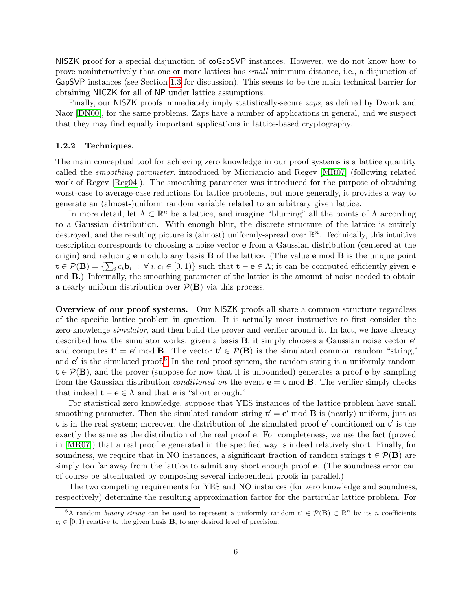NISZK proof for a special disjunction of coGapSVP instances. However, we do not know how to prove noninteractively that one or more lattices has small minimum distance, i.e., a disjunction of GapSVP instances (see Section [1.3](#page-6-0) for discussion). This seems to be the main technical barrier for obtaining NICZK for all of NP under lattice assumptions.

Finally, our NISZK proofs immediately imply statistically-secure *zaps*, as defined by Dwork and Naor [\[DN00\]](#page-22-13), for the same problems. Zaps have a number of applications in general, and we suspect that they may find equally important applications in lattice-based cryptography.

#### 1.2.2 Techniques.

The main conceptual tool for achieving zero knowledge in our proof systems is a lattice quantity called the smoothing parameter, introduced by Micciancio and Regev [\[MR07\]](#page-23-10) (following related work of Regev [\[Reg04\]](#page-23-11)). The smoothing parameter was introduced for the purpose of obtaining worst-case to average-case reductions for lattice problems, but more generally, it provides a way to generate an (almost-)uniform random variable related to an arbitrary given lattice.

In more detail, let  $\Lambda \subset \mathbb{R}^n$  be a lattice, and imagine "blurring" all the points of  $\Lambda$  according to a Gaussian distribution. With enough blur, the discrete structure of the lattice is entirely destroyed, and the resulting picture is (almost) uniformly-spread over  $\mathbb{R}^n$ . Technically, this intuitive description corresponds to choosing a noise vector e from a Gaussian distribution (centered at the origin) and reducing **e** modulo any basis  $\bf{B}$  of the lattice. (The value **e** mod  $\bf{B}$  is the unique point  $\mathbf{t} \in \mathcal{P}(\mathbf{B}) = \{\sum_i c_i \mathbf{b}_i : \forall i, c_i \in [0,1)\}\$  such that  $\mathbf{t} - \mathbf{e} \in \Lambda$ ; it can be computed efficiently given  $\mathbf{e}$ and B.) Informally, the smoothing parameter of the lattice is the amount of noise needed to obtain a nearly uniform distribution over  $\mathcal{P}(\mathbf{B})$  via this process.

Overview of our proof systems. Our NISZK proofs all share a common structure regardless of the specific lattice problem in question. It is actually most instructive to first consider the zero-knowledge *simulator*, and then build the prover and verifier around it. In fact, we have already described how the simulator works: given a basis  $B$ , it simply chooses a Gaussian noise vector  $e'$ and computes  $\mathbf{t}' = \mathbf{e}'$  mod **B**. The vector  $\mathbf{t}' \in \mathcal{P}(\mathbf{B})$  is the simulated common random "string," and  $e'$  is the simulated proof.<sup>[6](#page-5-0)</sup> In the real proof system, the random string is a uniformly random  $t \in \mathcal{P}(B)$ , and the prover (suppose for now that it is unbounded) generates a proof e by sampling from the Gaussian distribution *conditioned on* the event  $\mathbf{e} = \mathbf{t} \mod B$ . The verifier simply checks that indeed  $\mathbf{t} - \mathbf{e} \in \Lambda$  and that **e** is "short enough."

For statistical zero knowledge, suppose that YES instances of the lattice problem have small smoothing parameter. Then the simulated random string  $t' = e'$  mod **B** is (nearly) uniform, just as t is in the real system; moreover, the distribution of the simulated proof  $e'$  conditioned on  $t'$  is the exactly the same as the distribution of the real proof e. For completeness, we use the fact (proved in [\[MR07\]](#page-23-10)) that a real proof e generated in the specified way is indeed relatively short. Finally, for soundness, we require that in NO instances, a significant fraction of random strings  $\mathbf{t} \in \mathcal{P}(\mathbf{B})$  are simply too far away from the lattice to admit any short enough proof e. (The soundness error can of course be attentuated by composing several independent proofs in parallel.)

The two competing requirements for YES and NO instances (for zero knowledge and soundness, respectively) determine the resulting approximation factor for the particular lattice problem. For

<span id="page-5-0"></span><sup>&</sup>lt;sup>6</sup>A random *binary string* can be used to represent a uniformly random  $\mathbf{t}' \in \mathcal{P}(\mathbf{B}) \subset \mathbb{R}^n$  by its n coefficients  $c_i \in [0, 1)$  relative to the given basis **B**, to any desired level of precision.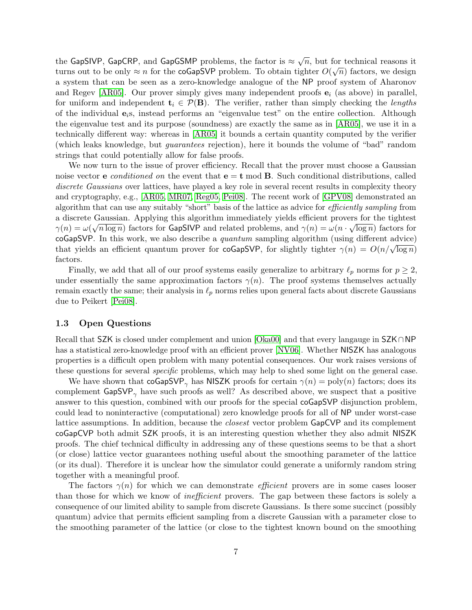the GapSIVP, GapCRP, and GapGSMP problems, the factor is  $\approx \sqrt{n}$ , but for technical reasons it turns out to be only  $\approx n$  for the coGapSVP problem. To obtain tighter  $O(\sqrt{n})$  factors, we design a system that can be seen as a zero-knowledge analogue of the NP proof system of Aharonov and Regev [\[AR05\]](#page-21-11). Our prover simply gives many independent proofs  $e_i$  (as above) in parallel, for uniform and independent  $\mathbf{t}_i \in \mathcal{P}(\mathbf{B})$ . The verifier, rather than simply checking the *lengths* of the individual  $e_i$ s, instead performs an "eigenvalue test" on the entire collection. Although the eigenvalue test and its purpose (soundness) are exactly the same as in [\[AR05\]](#page-21-11), we use it in a technically different way: whereas in [\[AR05\]](#page-21-11) it bounds a certain quantity computed by the verifier (which leaks knowledge, but guarantees rejection), here it bounds the volume of "bad" random strings that could potentially allow for false proofs.

We now turn to the issue of prover efficiency. Recall that the prover must choose a Gaussian noise vector **e** conditioned on the event that  $\mathbf{e} = \mathbf{t} \mod B$ . Such conditional distributions, called discrete Gaussians over lattices, have played a key role in several recent results in complexity theory and cryptography, e.g., [\[AR05,](#page-21-11) [MR07,](#page-23-10) [Reg05,](#page-23-12) [Pei08\]](#page-23-13). The recent work of [\[GPV08\]](#page-22-12) demonstrated an algorithm that can use any suitably "short" basis of the lattice as advice for efficiently sampling from a discrete Gaussian. Applying this algorithm immediately yields efficient provers for the tightest  $\gamma(n) = \omega(\sqrt{n \log n})$  factors for GapSIVP and related problems, and  $\gamma(n) = \omega(n \cdot \sqrt{\log n})$  factors for  $\cos\theta$ SVP. In this work, we also describe a *quantum* sampling algorithm (using different advice) codaps in this work, we also describe a *quantum* sampling algorithm (using different advice) that yields an efficient quantum prover for coGapSVP, for slightly tighter  $\gamma(n) = O(n/\sqrt{\log n})$ factors.

Finally, we add that all of our proof systems easily generalize to arbitrary  $\ell_p$  norms for  $p \geq 2$ , under essentially the same approximation factors  $\gamma(n)$ . The proof systems themselves actually remain exactly the same; their analysis in  $\ell_p$  norms relies upon general facts about discrete Gaussians due to Peikert [\[Pei08\]](#page-23-13).

# <span id="page-6-0"></span>1.3 Open Questions

Recall that SZK is closed under complement and union [\[Oka00\]](#page-23-1) and that every langauge in SZK∩NP has a statistical zero-knowledge proof with an efficient prover [\[NV06\]](#page-23-7). Whether **NISZK** has analogous properties is a difficult open problem with many potential consequences. Our work raises versions of these questions for several specific problems, which may help to shed some light on the general case.

We have shown that  $\cos\frac{1}{\gamma}$  has NISZK proofs for certain  $\gamma(n) = \text{poly}(n)$  factors; does its complement  $\mathsf{GapSVP}_{\gamma}$  have such proofs as well? As described above, we suspect that a positive answer to this question, combined with our proofs for the special coGapSVP disjunction problem, could lead to noninteractive (computational) zero knowledge proofs for all of NP under worst-case lattice assumptions. In addition, because the *closest* vector problem GapCVP and its complement coGapCVP both admit SZK proofs, it is an interesting question whether they also admit NISZK proofs. The chief technical difficulty in addressing any of these questions seems to be that a short (or close) lattice vector guarantees nothing useful about the smoothing parameter of the lattice (or its dual). Therefore it is unclear how the simulator could generate a uniformly random string together with a meaningful proof.

The factors  $\gamma(n)$  for which we can demonstrate *efficient* provers are in some cases looser than those for which we know of inefficient provers. The gap between these factors is solely a consequence of our limited ability to sample from discrete Gaussians. Is there some succinct (possibly quantum) advice that permits efficient sampling from a discrete Gaussian with a parameter close to the smoothing parameter of the lattice (or close to the tightest known bound on the smoothing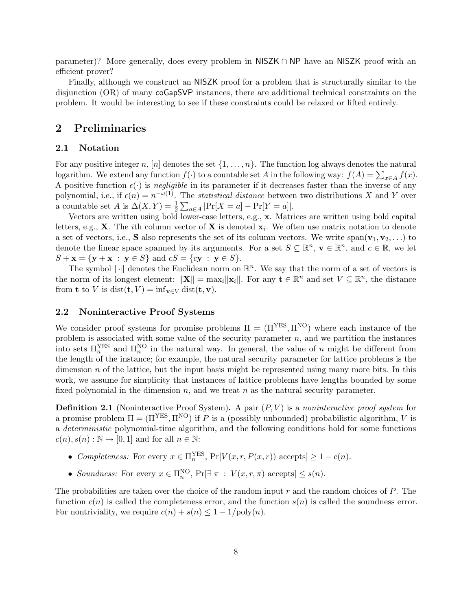parameter)? More generally, does every problem in NISZK ∩ NP have an NISZK proof with an efficient prover?

Finally, although we construct an NISZK proof for a problem that is structurally similar to the disjunction (OR) of many coGapSVP instances, there are additional technical constraints on the problem. It would be interesting to see if these constraints could be relaxed or lifted entirely.

# 2 Preliminaries

# 2.1 Notation

For any positive integer n, [n] denotes the set  $\{1,\ldots,n\}$ . The function log always denotes the natural logarithm. We extend any function  $f(\cdot)$  to a countable set A in the following way:  $f(A) = \sum_{x \in A} f(x)$ . A positive function  $\epsilon(\cdot)$  is *negligible* in its parameter if it decreases faster than the inverse of any polynomial, i.e., if  $\epsilon(n) = n^{-\omega(1)}$ . The *statistical distance* between two distributions X and Y over a countable set A is  $\Delta(X,Y) = \frac{1}{2} \sum_{a \in A} |\Pr[X=a] - \Pr[Y=a]|$ .

Vectors are written using bold lower-case letters, e.g., x. Matrices are written using bold capital letters, e.g., **X**. The *i*th column vector of **X** is denoted  $\mathbf{x}_i$ . We often use matrix notation to denote a set of vectors, i.e., **S** also represents the set of its column vectors. We write  $\text{span}(\mathbf{v}_1, \mathbf{v}_2, \ldots)$  to denote the linear space spanned by its arguments. For a set  $S \subseteq \mathbb{R}^n$ ,  $\mathbf{v} \in \mathbb{R}^n$ , and  $c \in \mathbb{R}$ , we let  $S + x = \{y + x : y \in S\}$  and  $cS = \{cy : y \in S\}.$ 

The symbol  $\|\cdot\|$  denotes the Euclidean norm on  $\mathbb{R}^n$ . We say that the norm of a set of vectors is the norm of its longest element:  $\|\mathbf{X}\| = \max_i \|\mathbf{x}_i\|$ . For any  $\mathbf{t} \in \mathbb{R}^n$  and set  $V \subseteq \mathbb{R}^n$ , the distance from **t** to V is dist(**t**, V) = inf<sub>v∈V</sub> dist(**t**, **v**).

#### 2.2 Noninteractive Proof Systems

We consider proof systems for promise problems  $\Pi = (\Pi^{YES}, \Pi^{NO})$  where each instance of the problem is associated with some value of the security parameter  $n$ , and we partition the instances into sets  $\Pi_n^{\text{YES}}$  and  $\Pi_n^{\text{NO}}$  in the natural way. In general, the value of n might be different from the length of the instance; for example, the natural security parameter for lattice problems is the dimension n of the lattice, but the input basis might be represented using many more bits. In this work, we assume for simplicity that instances of lattice problems have lengths bounded by some fixed polynomial in the dimension  $n$ , and we treat  $n$  as the natural security parameter.

**Definition 2.1** (Noninteractive Proof System). A pair  $(P, V)$  is a noninteractive proof system for a promise problem  $\Pi = (\Pi^{YES}, \Pi^{NO})$  if P is a (possibly unbounded) probabilistic algorithm, V is a deterministic polynomial-time algorithm, and the following conditions hold for some functions  $c(n), s(n) : \mathbb{N} \to [0, 1]$  and for all  $n \in \mathbb{N}$ :

- Completeness: For every  $x \in \Pi_n^{\text{YES}}, \Pr[V(x, r, P(x, r)) \text{ accepts}] \ge 1 c(n).$
- Soundness: For every  $x \in \Pi_n^{\text{NO}}$ ,  $\Pr[\exists \pi : V(x, r, \pi) \text{ accepts}] \leq s(n)$ .

The probabilities are taken over the choice of the random input  $r$  and the random choices of  $P$ . The function  $c(n)$  is called the completeness error, and the function  $s(n)$  is called the soundness error. For nontriviality, we require  $c(n) + s(n) \leq 1 - 1/\text{poly}(n)$ .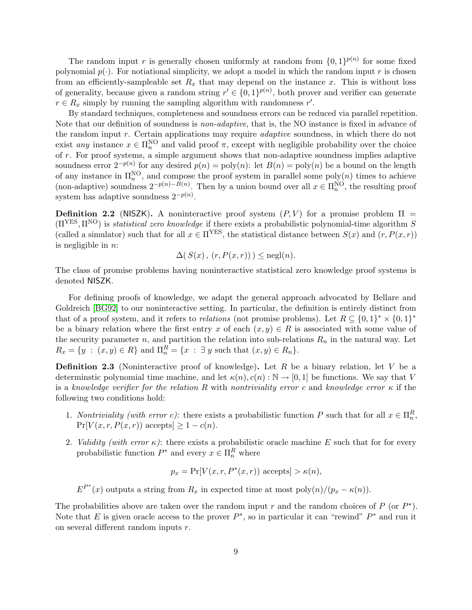The random input r is generally chosen uniformly at random from  $\{0,1\}^{p(n)}$  for some fixed polynomial  $p(\cdot)$ . For notiational simplicity, we adopt a model in which the random input r is chosen from an efficiently-sampleable set  $R_x$  that may depend on the instance x. This is without loss of generality, because given a random string  $r' \in \{0,1\}^{p(n)}$ , both prover and verifier can generate  $r \in R_x$  simply by running the sampling algorithm with randomness r'.

By standard techniques, completeness and soundness errors can be reduced via parallel repetition. Note that our definition of soundness is *non-adaptive*, that is, the NO instance is fixed in advance of the random input  $r$ . Certain applications may require *adaptive* soundness, in which there do not exist any instance  $x \in \Pi_n^{\text{NO}}$  and valid proof  $\pi$ , except with negligible probability over the choice of  $r$ . For proof systems, a simple argument shows that non-adaptive soundness implies adaptive soundness error  $2^{-p(n)}$  for any desired  $p(n) = poly(n)$ : let  $B(n) = poly(n)$  be a bound on the length of any instance in  $\Pi_n^{\text{NO}}$ , and compose the proof system in parallel some poly $(n)$  times to achieve (non-adaptive) soundness  $2^{-p(n)-B(n)}$ . Then by a union bound over all  $x \in \Pi_n^{\text{NO}}$ , the resulting proof system has adaptive soundness  $2^{-p(n)}$ .

**Definition 2.2** (NISZK). A noninteractive proof system  $(P, V)$  for a promise problem  $\Pi$  =  $(\Pi^{YES}, \Pi^{NO})$  is *statistical zero knowledge* if there exists a probabilistic polynomial-time algorithm S (called a simulator) such that for all  $x \in \Pi^{YES}$ , the statistical distance between  $S(x)$  and  $(r, P(x, r))$ is negligible in  $n$ :

$$
\Delta(S(x), (r, P(x,r))) \le \mathrm{negl}(n).
$$

The class of promise problems having noninteractive statistical zero knowledge proof systems is denoted NISZK.

For defining proofs of knowledge, we adapt the general approach advocated by Bellare and Goldreich [\[BG92\]](#page-21-13) to our noninteractive setting. In particular, the definition is entirely distinct from that of a proof system, and it refers to *relations* (not promise problems). Let  $R \subseteq \{0,1\}^* \times \{0,1\}^*$ be a binary relation where the first entry x of each  $(x, y) \in R$  is associated with some value of the security parameter n, and partition the relation into sub-relations  $R_n$  in the natural way. Let  $R_x = \{y : (x, y) \in R\}$  and  $\Pi_n^R = \{x : \exists y \text{ such that } (x, y) \in R_n\}.$ 

**Definition 2.3** (Noninteractive proof of knowledge). Let R be a binary relation, let V be a determinstic polynomial time machine, and let  $\kappa(n), c(n) : \mathbb{N} \to [0, 1]$  be functions. We say that V is a knowledge verifier for the relation R with nontriviality error c and knowledge error  $\kappa$  if the following two conditions hold:

- 1. Nontriviality (with error c): there exists a probabilistic function P such that for all  $x \in \Pi_n^R$ ,  $Pr[V(x, r, P(x, r)) \text{ accepts}] \geq 1 - c(n).$
- 2. Validity (with error  $\kappa$ ): there exists a probabilistic oracle machine E such that for for every probabilistic function  $P^*$  and every  $x \in \Pi_n^R$  where

$$
p_x = \Pr[V(x, r, P^*(x, r)) \text{ accepts}] > \kappa(n),
$$

 $E^{P^*}(x)$  outputs a string from  $R_x$  in expected time at most  $\text{poly}(n)/(p_x - \kappa(n))$ .

The probabilities above are taken over the random input r and the random choices of  $P$  (or  $P^*$ ). Note that E is given oracle access to the prover  $P^*$ , so in particular it can "rewind"  $P^*$  and run it on several different random inputs r.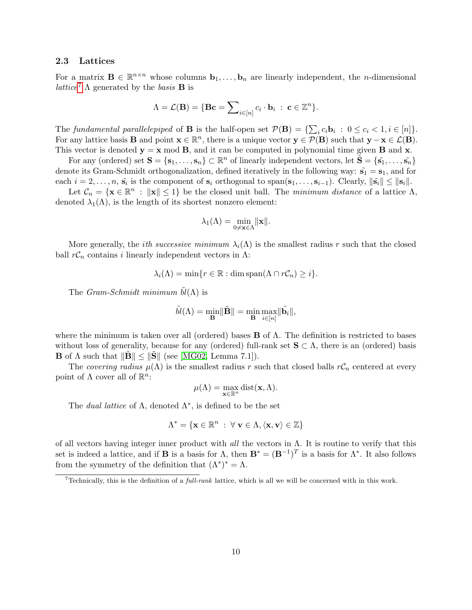## 2.3 Lattices

For a matrix  $\mathbf{B} \in \mathbb{R}^{n \times n}$  whose columns  $\mathbf{b}_1, \ldots, \mathbf{b}_n$  are linearly independent, the *n*-dimensional *lattice*<sup>[7](#page-9-0)</sup>  $\Lambda$  generated by the *basis* **B** is

$$
\Lambda = \mathcal{L}(\mathbf{B}) = \{ \mathbf{B}\mathbf{c} = \sum\nolimits_{i \in [n]} c_i \cdot \mathbf{b}_i \ : \ \mathbf{c} \in \mathbb{Z}^n \}.
$$

The fundamental parallelepiped of **B** is the half-open set  $\mathcal{P}(\mathbf{B}) = {\sum_i c_i \mathbf{b}_i : 0 \le c_i < 1, i \in [n]}$ . For any lattice basis **B** and point  $\mathbf{x} \in \mathbb{R}^n$ , there is a unique vector  $\mathbf{y} \in \mathcal{P}(\mathbf{B})$  such that  $\mathbf{y} - \mathbf{x} \in \mathcal{L}(\mathbf{B})$ . This vector is denoted  $y = x \mod B$ , and it can be computed in polynomial time given **B** and **x**.

For any (ordered) set  $\mathbf{S} = \{\mathbf{s}_1, \ldots, \mathbf{s}_n\} \subset \mathbb{R}^n$  of linearly independent vectors, let  $\tilde{\bar{\mathbf{S}}} = \{\tilde{\mathbf{s}_1}, \ldots, \tilde{\mathbf{s}_n}\}$ denote its Gram-Schmidt orthogonalization, defined iteratively in the following way:  $\tilde{s_1} = s_1$ , and for each  $i = 2, \ldots, n$ ,  $\tilde{\mathbf{s}}_i$  is the component of  $\mathbf{s}_i$  orthogonal to  $\text{span}(\mathbf{s}_1, \ldots, \mathbf{s}_{i-1})$ . Clearly,  $\|\tilde{\mathbf{s}}_i\| \leq \|\mathbf{s}_i\|$ .

Let  $\mathcal{C}_n = \{ \mathbf{x} \in \mathbb{R}^n : ||\mathbf{x}|| \leq 1 \}$  be the closed unit ball. The minimum distance of a lattice  $\Lambda$ , denoted  $\lambda_1(\Lambda)$ , is the length of its shortest nonzero element:

$$
\lambda_1(\Lambda)=\min_{0\neq\mathbf{x}\in\Lambda}\lVert\mathbf{x}\rVert.
$$

More generally, the *ith successive minimum*  $\lambda_i(\Lambda)$  is the smallest radius r such that the closed ball  $rC_n$  contains i linearly independent vectors in  $\Lambda$ :

$$
\lambda_i(\Lambda) = \min\{r \in \mathbb{R} : \dim \operatorname{span}(\Lambda \cap rC_n) \geq i\}.
$$

The Gram-Schmidt minimum  $bl(\Lambda)$  is

$$
\tilde{bl}(\Lambda) = \min_{\mathbf{B}} \lVert \tilde{\mathbf{B}} \rVert = \min_{\mathbf{B}} \max_{i \in [n]} \lVert \tilde{\mathbf{b}}_i \rVert,
$$

where the minimum is taken over all (ordered) bases  $\bf{B}$  of  $\Lambda$ . The definition is restricted to bases without loss of generality, because for any (ordered) full-rank set  $S \subset \Lambda$ , there is an (ordered) basis **B** of  $\Lambda$  such that  $\|\mathbf{B}\| \le \|\mathbf{S}\|$  (see [\[MG02,](#page-23-14) Lemma 7.1]).

The covering radius  $\mu(\Lambda)$  is the smallest radius r such that closed balls  $rC_n$  centered at every point of  $\Lambda$  cover all of  $\mathbb{R}^n$ :

$$
\mu(\Lambda) = \max_{\mathbf{x} \in \mathbb{R}^n} \text{dist}(\mathbf{x}, \Lambda).
$$

The *dual lattice* of  $\Lambda$ , denoted  $\Lambda^*$ , is defined to be the set

$$
\Lambda^* = \{ \mathbf{x} \in \mathbb{R}^n \; : \; \forall \; \mathbf{v} \in \Lambda, \langle \mathbf{x}, \mathbf{v} \rangle \in \mathbb{Z} \}
$$

of all vectors having integer inner product with all the vectors in Λ. It is routine to verify that this set is indeed a lattice, and if **B** is a basis for  $\Lambda$ , then  $\mathbf{B}^* = (\mathbf{B}^{-1})^T$  is a basis for  $\Lambda^*$ . It also follows from the symmetry of the definition that  $(\Lambda^*)^* = \Lambda$ .

<span id="page-9-0"></span><sup>&</sup>lt;sup>7</sup>Technically, this is the definition of a *full-rank* lattice, which is all we will be concerned with in this work.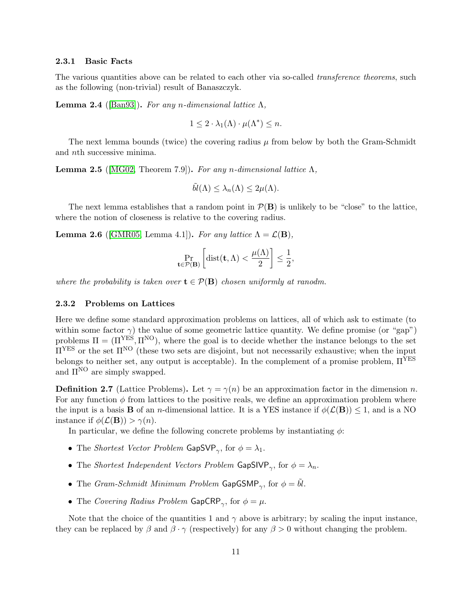#### 2.3.1 Basic Facts

The various quantities above can be related to each other via so-called *transference theorems*, such as the following (non-trivial) result of Banaszczyk.

<span id="page-10-2"></span>**Lemma 2.4** ([\[Ban93\]](#page-21-12)). For any n-dimensional lattice  $\Lambda$ ,

$$
1 \le 2 \cdot \lambda_1(\Lambda) \cdot \mu(\Lambda^*) \le n.
$$

The next lemma bounds (twice) the covering radius  $\mu$  from below by both the Gram-Schmidt and nth successive minima.

<span id="page-10-1"></span>**Lemma 2.5** ([\[MG02,](#page-23-14) Theorem 7.9]). For any n-dimensional lattice  $\Lambda$ ,

$$
\tilde{bl}(\Lambda) \leq \lambda_n(\Lambda) \leq 2\mu(\Lambda).
$$

The next lemma establishes that a random point in  $\mathcal{P}(\mathbf{B})$  is unlikely to be "close" to the lattice, where the notion of closeness is relative to the covering radius.

<span id="page-10-0"></span>**Lemma 2.6** ([\[GMR05,](#page-22-11) Lemma 4.1]). For any lattice  $\Lambda = \mathcal{L}(\mathbf{B})$ ,

$$
\Pr_{\mathbf{t}\in\mathcal{P}(\mathbf{B})}\left[\mathrm{dist}(\mathbf{t},\Lambda)<\frac{\mu(\Lambda)}{2}\right]\leq\frac{1}{2},
$$

where the probability is taken over  $\mathbf{t} \in \mathcal{P}(\mathbf{B})$  chosen uniformly at ranodm.

# 2.3.2 Problems on Lattices

Here we define some standard approximation problems on lattices, all of which ask to estimate (to within some factor  $\gamma$ ) the value of some geometric lattice quantity. We define promise (or "gap") problems  $\Pi = (\Pi^{YES}, \Pi^{NO})$ , where the goal is to decide whether the instance belongs to the set  $\Pi^{\text{YES}}$  or the set  $\Pi^{\text{NO}}$  (these two sets are disjoint, but not necessarily exhaustive; when the input belongs to neither set, any output is acceptable). In the complement of a promise problem,  $\Pi^{YES}$ and  $\Pi^{\text{NO}}$  are simply swapped.

**Definition 2.7** (Lattice Problems). Let  $\gamma = \gamma(n)$  be an approximation factor in the dimension n. For any function  $\phi$  from lattices to the positive reals, we define an approximation problem where the input is a basis **B** of an *n*-dimensional lattice. It is a YES instance if  $\phi(\mathcal{L}(\mathbf{B})) \leq 1$ , and is a NO instance if  $\phi(\mathcal{L}(\mathbf{B})) > \gamma(n)$ .

In particular, we define the following concrete problems by instantiating  $\phi$ :

- The *Shortest Vector Problem* GapSVP<sub> $\gamma$ </sub>, for  $\phi = \lambda_1$ .
- The Shortest Independent Vectors Problem GapSIVP<sub> $_{\gamma}$ </sub>, for  $\phi = \lambda_n$ .
- The Gram-Schmidt Minimum Problem GapGSMP<sub> $\gamma$ </sub>, for  $\phi = \tilde{b}l$ .
- The Covering Radius Problem GapCRP<sub> $\gamma$ </sub>, for  $\phi = \mu$ .

Note that the choice of the quantities 1 and  $\gamma$  above is arbitrary; by scaling the input instance, they can be replaced by  $\beta$  and  $\beta \cdot \gamma$  (respectively) for any  $\beta > 0$  without changing the problem.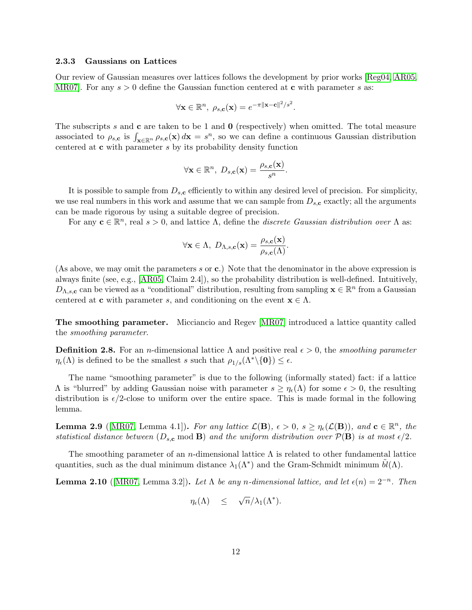#### 2.3.3 Gaussians on Lattices

Our review of Gaussian measures over lattices follows the development by prior works [\[Reg04,](#page-23-11) [AR05,](#page-21-11) MR07. For any  $s > 0$  define the Gaussian function centered at **c** with parameter s as:

$$
\forall \mathbf{x} \in \mathbb{R}^n, \ \rho_{s,c}(\mathbf{x}) = e^{-\pi ||\mathbf{x}-c||^2/s^2}.
$$

The subscripts s and  $c$  are taken to be 1 and  $0$  (respectively) when omitted. The total measure associated to  $\rho_{s,c}$  is  $\int_{\mathbf{x}\in\mathbb{R}^n} \rho_{s,c}(\mathbf{x}) d\mathbf{x} = s^n$ , so we can define a continuous Gaussian distribution centered at c with parameter s by its probability density function

$$
\forall \mathbf{x} \in \mathbb{R}^n, \ D_{s,\mathbf{c}}(\mathbf{x}) = \frac{\rho_{s,\mathbf{c}}(\mathbf{x})}{s^n}.
$$

It is possible to sample from  $D_{s,c}$  efficiently to within any desired level of precision. For simplicity, we use real numbers in this work and assume that we can sample from  $D_{s,c}$  exactly; all the arguments can be made rigorous by using a suitable degree of precision.

For any  $\mathbf{c} \in \mathbb{R}^n$ , real  $s > 0$ , and lattice  $\Lambda$ , define the *discrete Gaussian distribution over*  $\Lambda$  as:

$$
\forall \mathbf{x} \in \Lambda, \ D_{\Lambda,s,\mathbf{c}}(\mathbf{x}) = \frac{\rho_{s,\mathbf{c}}(\mathbf{x})}{\rho_{s,\mathbf{c}}(\Lambda)}.
$$

(As above, we may omit the parameters s or c.) Note that the denominator in the above expression is always finite (see, e.g., [\[AR05,](#page-21-11) Claim 2.4]), so the probability distribution is well-defined. Intuitively,  $D_{\Lambda,s,c}$  can be viewed as a "conditional" distribution, resulting from sampling  $\mathbf{x} \in \mathbb{R}^n$  from a Gaussian centered at **c** with parameter s, and conditioning on the event  $\mathbf{x} \in \Lambda$ .

The smoothing parameter. Micciancio and Regev [\[MR07\]](#page-23-10) introduced a lattice quantity called the smoothing parameter.

**Definition 2.8.** For an *n*-dimensional lattice  $\Lambda$  and positive real  $\epsilon > 0$ , the *smoothing parameter*  $\eta_{\epsilon}(\Lambda)$  is defined to be the smallest s such that  $\rho_{1/s}(\Lambda^*\setminus{\{0\}}) \leq \epsilon$ .

The name "smoothing parameter" is due to the following (informally stated) fact: if a lattice  $\Lambda$  is "blurred" by adding Gaussian noise with parameter  $s \geq \eta_{\epsilon}(\Lambda)$  for some  $\epsilon > 0$ , the resulting distribution is  $\epsilon/2$ -close to uniform over the entire space. This is made formal in the following lemma.

<span id="page-11-0"></span>**Lemma 2.9** ([\[MR07,](#page-23-10) Lemma 4.1]). For any lattice  $\mathcal{L}(\mathbf{B})$ ,  $\epsilon > 0$ ,  $s \geq \eta_{\epsilon}(\mathcal{L}(\mathbf{B}))$ , and  $\mathbf{c} \in \mathbb{R}^{n}$ , the statistical distance between  $(D_{s,c} \mod B)$  and the uniform distribution over  $\mathcal{P}(B)$  is at most  $\epsilon/2$ .

The smoothing parameter of an *n*-dimensional lattice  $\Lambda$  is related to other fundamental lattice quantities, such as the dual minimum distance  $\lambda_1(\Lambda^*)$  and the Gram-Schmidt minimum  $\tilde{bl}(\Lambda)$ .

<span id="page-11-2"></span><span id="page-11-1"></span>**Lemma 2.10** ([\[MR07,](#page-23-10) Lemma 3.2]). Let  $\Lambda$  be any n-dimensional lattice, and let  $\epsilon(n) = 2^{-n}$ . Then

$$
\eta_{\epsilon}(\Lambda) \leq \sqrt{n}/\lambda_1(\Lambda^*).
$$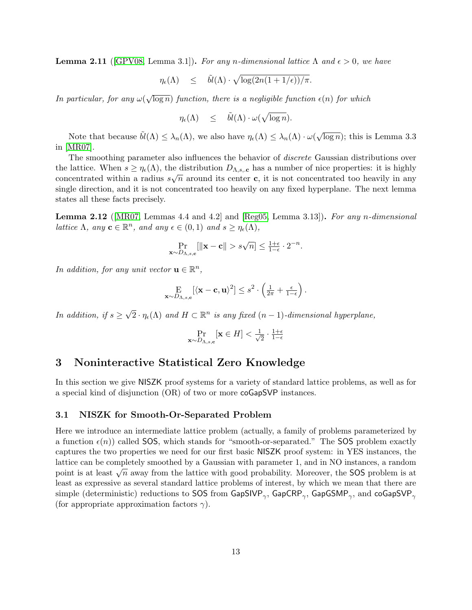**Lemma 2.11** ([\[GPV08,](#page-22-12) Lemma 3.1]). For any n-dimensional lattice  $\Lambda$  and  $\epsilon > 0$ , we have

$$
\eta_{\epsilon}(\Lambda) \leq \tilde{bl}(\Lambda) \cdot \sqrt{\log(2n(1+1/\epsilon))/\pi}.
$$

In particular, for any  $\omega$ √  $\overline{\log n}$ ) function, there is a negligible function  $\epsilon(n)$  for which

$$
\eta_{\epsilon}(\Lambda) \leq \tilde{bl}(\Lambda) \cdot \omega(\sqrt{\log n}).
$$

Note that because  $\tilde{bl}(\Lambda) \leq \lambda_n(\Lambda)$ , we also have  $\eta_{\epsilon}(\Lambda) \leq \lambda_n(\Lambda) \cdot \omega(\sqrt{\Lambda})$  $\overline{\log n}$ ); this is Lemma 3.3 in [\[MR07\]](#page-23-10).

The smoothing parameter also influences the behavior of *discrete* Gaussian distributions over the lattice. When  $s \geq \eta_{\epsilon}(\Lambda)$ , the distribution  $D_{\Lambda,s,\mathbf{c}}$  has a number of nice properties: it is highly concentrated within a radius  $s\sqrt{n}$  around its center c, it is not concentrated too heavily in any single direction, and it is not concentrated too heavily on any fixed hyperplane. The next lemma states all these facts precisely.

<span id="page-12-0"></span>**Lemma 2.12** ( $[MR07, Lemmas 4.4 and 4.2]$  $[MR07, Lemmas 4.4 and 4.2]$  and  $[Reg05, Lemma 3.13]$ ). For any n-dimensional lattice  $\Lambda$ , any  $\mathbf{c} \in \mathbb{R}^n$ , and any  $\epsilon \in (0,1)$  and  $s \geq \eta_{\epsilon}(\Lambda)$ ,

$$
\Pr_{\mathbf{x} \sim D_{\Lambda, s, \mathbf{c}}} [\|\mathbf{x} - \mathbf{c}\| > s\sqrt{n}] \le \frac{1+\epsilon}{1-\epsilon} \cdot 2^{-n}.
$$

In addition, for any unit vector  $\mathbf{u} \in \mathbb{R}^n$ ,

$$
\mathop{\mathbf{E}}_{\mathbf{x}\sim D_{\Lambda,s,\mathbf{c}}}[\langle \mathbf{x}-\mathbf{c},\mathbf{u}\rangle^2] \leq s^2 \cdot \left(\tfrac{1}{2\pi} + \tfrac{\epsilon}{1-\epsilon}\right).
$$

In addition, if  $s \geq$  $\sqrt{2} \cdot \eta_{\epsilon}(\Lambda)$  and  $H \subset \mathbb{R}^n$  is any fixed  $(n-1)$ -dimensional hyperplane,

$$
\Pr_{\mathbf{x} \sim D_{\Lambda, s, \mathbf{c}}}[\mathbf{x} \in H] < \frac{1}{\sqrt{2}} \cdot \frac{1 + \epsilon}{1 - \epsilon}
$$

# 3 Noninteractive Statistical Zero Knowledge

In this section we give NISZK proof systems for a variety of standard lattice problems, as well as for a special kind of disjunction (OR) of two or more coGapSVP instances.

## 3.1 NISZK for Smooth-Or-Separated Problem

Here we introduce an intermediate lattice problem (actually, a family of problems parameterized by a function  $\epsilon(n)$ ) called SOS, which stands for "smooth-or-separated." The SOS problem exactly captures the two properties we need for our first basic NISZK proof system: in YES instances, the lattice can be completely smoothed by a Gaussian with parameter 1, and in NO instances, a random point is at least  $\sqrt{n}$  away from the lattice with good probability. Moreover, the SOS problem is at  $e^{i\pi/2}$ least as expressive as several standard lattice problems of interest, by which we mean that there are  $\rm simple \ (deterministic) \ reductions \ to \ SOS \ from \ GapSIVP_{\gamma}, \ $\sf GapCRP_{\gamma}, \mathsf{GapGSMP_{\gamma}, \ and \ coGapSVP_{\gamma}$$ (for appropriate approximation factors  $\gamma$ ).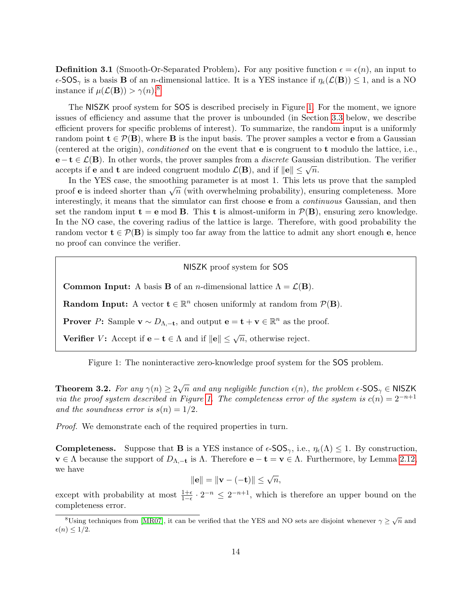**Definition 3.1** (Smooth-Or-Separated Problem). For any positive function  $\epsilon = \epsilon(n)$ , an input to  $\epsilon$ -SOS<sub>γ</sub> is a basis **B** of an *n*-dimensional lattice. It is a YES instance if  $\eta_{\epsilon}(\mathcal{L}(\mathbf{B})) \leq 1$ , and is a NO instance if  $\mu(\mathcal{L}(\mathbf{B})) > \gamma(n).8$  $\mu(\mathcal{L}(\mathbf{B})) > \gamma(n).8$ 

The NISZK proof system for SOS is described precisely in Figure [1.](#page-13-1) For the moment, we ignore issues of efficiency and assume that the prover is unbounded (in Section [3.3](#page-16-0) below, we describe efficient provers for specific problems of interest). To summarize, the random input is a uniformly random point  $\mathbf{t} \in \mathcal{P}(\mathbf{B})$ , where **B** is the input basis. The prover samples a vector **e** from a Gaussian (centered at the origin), *conditioned* on the event that **e** is congruent to **t** modulo the lattice, i.e.,  $e - t \in \mathcal{L}(\mathbf{B})$ . In other words, the prover samples from a *discrete* Gaussian distribution. The verifier  $\mathbf{e} - \mathbf{t} \in \mathcal{L}(\mathbf{D})$ . In other words, the prover samples from a *discrete* Gaussia<br>accepts if **e** and **t** are indeed congruent modulo  $\mathcal{L}(\mathbf{B})$ , and if  $\|\mathbf{e}\| \leq \sqrt{n}$ .

In the YES case, the smoothing parameter is at most 1. This lets us prove that the sampled proof **e** is indeed shorter than  $\sqrt{n}$  (with overwhelming probability), ensuring completeness. More interestingly, it means that the simulator can first choose **e** from a *continuous* Gaussian, and then set the random input  $t = e \mod B$ . This t is almost-uniform in  $P(B)$ , ensuring zero knowledge. In the NO case, the covering radius of the lattice is large. Therefore, with good probability the random vector  $\mathbf{t} \in \mathcal{P}(\mathbf{B})$  is simply too far away from the lattice to admit any short enough e, hence no proof can convince the verifier.

# NISZK proof system for SOS

**Common Input:** A basis **B** of an *n*-dimensional lattice  $\Lambda = \mathcal{L}(\mathbf{B})$ .

**Random Input:** A vector  $\mathbf{t} \in \mathbb{R}^n$  chosen uniformly at random from  $\mathcal{P}(\mathbf{B})$ .

**Prover** P: Sample  $\mathbf{v} \sim D_{\Lambda,-\mathbf{t}}$ , and output  $\mathbf{e} = \mathbf{t} + \mathbf{v} \in \mathbb{R}^n$  as the proof.

**Verifier** V: Accept if  $e - t \in \Lambda$  and if  $||e|| \leq \sqrt{n}$ , otherwise reject.

<span id="page-13-1"></span>Figure 1: The noninteractive zero-knowledge proof system for the SOS problem.

<span id="page-13-2"></span>**Theorem 3.2.** For any  $\gamma(n) \geq 2\sqrt{n}$  and any negligible function  $\epsilon(n)$ , the problem  $\epsilon$ -SOS<sub> $\gamma$ </sub>  $\in$  NISZK via the proof system described in Figure [1.](#page-13-1) The completeness error of the system is  $c(n) = 2^{-n+1}$ and the soundness error is  $s(n) = 1/2$ .

Proof. We demonstrate each of the required properties in turn.

**Completeness.** Suppose that **B** is a YES instance of  $\epsilon$ -SOS<sub> $\gamma$ </sub>, i.e.,  $\eta_{\epsilon}(\Lambda) \leq 1$ . By construction,  $\mathbf{v} \in \Lambda$  because the support of  $D_{\Lambda,-\mathbf{t}}$  is  $\Lambda$ . Therefore  $\mathbf{e} - \mathbf{t} = \mathbf{v} \in \Lambda$ . Furthermore, by Lemma [2.12,](#page-12-0) we have

$$
\|\mathbf{e}\| = \|\mathbf{v} - (-\mathbf{t})\| \le \sqrt{n},
$$

except with probability at most  $\frac{1+\epsilon}{1-\epsilon} \cdot 2^{-n} \leq 2^{-n+1}$ , which is therefore an upper bound on the completeness error.

<span id="page-13-0"></span><sup>&</sup>lt;sup>8</sup>Using techniques from [\[MR07\]](#page-23-10), it can be verified that the YES and NO sets are disjoint whenever  $\gamma \geq \sqrt{n}$  and  $\epsilon(n) \leq 1/2$ .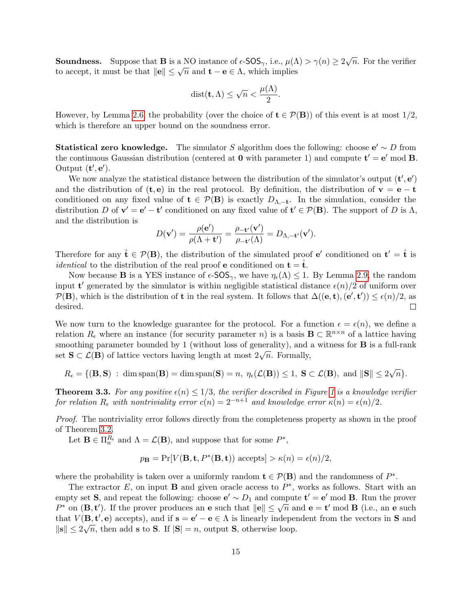**Soundness.** Suppose that **B** is a NO instance of  $\epsilon$ -SOS<sub> $\gamma$ </sub>, i.e.,  $\mu(\Lambda) > \gamma(n) \geq 2\sqrt{n}$ . For the verifier **Source SS.** Suppose that **B** is a NO instance of e-505<sub> $\gamma$ </sub>, i.e.,  $\mu$ <sub>(1)</sub> to accept, it must be that  $||e|| \le \sqrt{n}$  and  $t - e \in \Lambda$ , which implies

$$
\text{dist}(\mathbf{t}, \Lambda) \leq \sqrt{n} < \frac{\mu(\Lambda)}{2}.
$$

However, by Lemma [2.6,](#page-10-0) the probability (over the choice of  $\mathbf{t} \in \mathcal{P}(\mathbf{B})$ ) of this event is at most  $1/2$ , which is therefore an upper bound on the soundness error.

**Statistical zero knowledge.** The simulator S algorithm does the following: choose  $e' \sim D$  from the continuous Gaussian distribution (centered at 0 with parameter 1) and compute  $t' = e'$  mod **B**. Output  $(\mathbf{t}', \mathbf{e}')$ .

We now analyze the statistical distance between the distribution of the simulator's output  $(\mathbf{t}', \mathbf{e}')$ and the distribution of  $(t, e)$  in the real protocol. By definition, the distribution of  $v = e - t$ conditioned on any fixed value of  $\mathbf{t} \in \mathcal{P}(\mathbf{B})$  is exactly  $D_{\Lambda,-\mathbf{t}}$ . In the simulation, consider the distribution D of  $\mathbf{v}' = \mathbf{e}' - \mathbf{t}'$  conditioned on any fixed value of  $\mathbf{t}' \in \mathcal{P}(\mathbf{B})$ . The support of D is  $\Lambda$ , and the distribution is

$$
D(\mathbf{v}') = \frac{\rho(\mathbf{e}')}{\rho(\Lambda + \mathbf{t}')} = \frac{\rho_{-\mathbf{t}'}(\mathbf{v}')}{\rho_{-\mathbf{t}'}(\Lambda)} = D_{\Lambda, -\mathbf{t}'}(\mathbf{v}').
$$

Therefore for any  $\hat{\mathbf{t}} \in \mathcal{P}(\mathbf{B})$ , the distribution of the simulated proof  $\mathbf{e}'$  conditioned on  $\mathbf{t}' = \hat{\mathbf{t}}$  is *identical* to the distribution of the real proof **e** conditioned on  $t = \hat{t}$ .

Now because **B** is a YES instance of  $\epsilon$ -SOS<sub>γ</sub>, we have  $\eta_{\epsilon}(\Lambda) \leq 1$ . By Lemma [2.9,](#page-11-0) the random input t' generated by the simulator is within negligible statistical distance  $\epsilon(n)/2$  of uniform over  $\mathcal{P}(\mathbf{B})$ , which is the distribution of **t** in the real system. It follows that  $\Delta((\mathbf{e}, \mathbf{t}), (\mathbf{e}', \mathbf{t}')) \leq \epsilon(n)/2$ , as  $\Box$ desired.

We now turn to the knowledge guarantee for the protocol. For a function  $\epsilon = \epsilon(n)$ , we define a relation  $R_{\epsilon}$  where an instance (for security parameter n) is a basis  $\mathbf{B} \subset \mathbb{R}^{n \times n}$  of a lattice having smoothing parameter bounded by 1 (without loss of generality), and a witness for **B** is a full-rank shooting parameter bounded by T (without loss of generality), and a set  $\mathbf{S} \subset \mathcal{L}(\mathbf{B})$  of lattice vectors having length at most  $2\sqrt{n}$ . Formally,

$$
R_{\epsilon} = \{(\mathbf{B}, \mathbf{S}) : \dim \mathrm{span}(\mathbf{B}) = \dim \mathrm{span}(\mathbf{S}) = n, \eta_{\epsilon}(\mathcal{L}(\mathbf{B})) \leq 1, \mathbf{S} \subset \mathcal{L}(\mathbf{B}), \text{ and } ||\mathbf{S}|| \leq 2\sqrt{n}\}.
$$

**Theorem 3.3.** For any positive  $\epsilon(n) \leq 1/3$  $\epsilon(n) \leq 1/3$  $\epsilon(n) \leq 1/3$ , the verifier described in Figure 1 is a knowledge verifier for relation  $R_{\epsilon}$  with nontriviality error  $c(n) = 2^{-n+1}$  and knowledge error  $\kappa(n) = \epsilon(n)/2$ .

Proof. The nontriviality error follows directly from the completeness property as shown in the proof of Theorem [3.2.](#page-13-2)

Let  $\mathbf{B} \in \Pi_{n}^{R_{\epsilon}}$  and  $\Lambda = \mathcal{L}(\mathbf{B})$ , and suppose that for some  $P^*$ ,

$$
p_{\mathbf{B}} = \Pr[V(\mathbf{B}, \mathbf{t}, P^*(\mathbf{B}, \mathbf{t})) \text{ accepts}] > \kappa(n) = \epsilon(n)/2,
$$

where the probability is taken over a uniformly random  $\mathbf{t} \in \mathcal{P}(\mathbf{B})$  and the randomness of  $P^*$ .

The extractor  $E$ , on input **B** and given oracle access to  $P^*$ , works as follows. Start with an empty set **S**, and repeat the following: choose  $e' \sim D_1$  and compute  $t' = e' \mod B$ . Run the prover empty set **5**, and repeat the following. Choose  $e \sim D_1$  and compute  $t = e$  mod **B**. Kun the prover  $P^*$  on  $(\mathbf{B}, \mathbf{t}')$ . If the prover produces an **e** such that  $||e|| \leq \sqrt{n}$  and  $\mathbf{e} = \mathbf{t}'$  mod **B** (i.e., an **e** su that  $V(\mathbf{B}, \mathbf{t}', \mathbf{e})$  accepts), and if  $\mathbf{s} = \mathbf{e}' - \mathbf{e} \in \Lambda$  is linearly independent from the vectors in  $\mathbf{S}$  and  $\|\mathbf{s}\| \leq 2\sqrt{n}$ , then add **s** to **S**. If  $|\mathbf{S}| = n$ , output **S**, otherwise loop.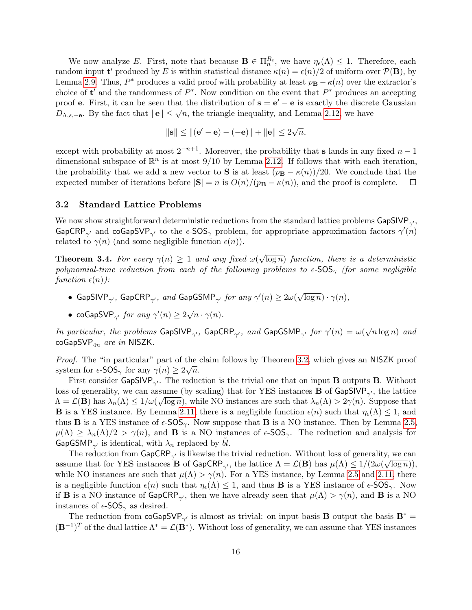We now analyze E. First, note that because  $\mathbf{B} \in \Pi_{n}^{R_{\epsilon}}$ , we have  $\eta_{\epsilon}(\Lambda) \leq 1$ . Therefore, each random input **t'** produced by E is within statistical distance  $\kappa(n) = \epsilon(n)/2$  of uniform over  $\mathcal{P}(\mathbf{B})$ , by Lemma [2.9.](#page-11-0) Thus,  $P^*$  produces a valid proof with probability at least  $p_{\bf B} - \kappa(n)$  over the extractor's choice of  $\mathbf{t}'$  and the randomness of  $P^*$ . Now condition on the event that  $P^*$  produces an accepting proof **e**. First, it can be seen that the distribution of  $s = e' - e$  is exactly the discrete Gaussian proof e. First, it can be seen that the distribution of  $s = e - e$  is exactly the discrete  $D_{\Lambda,s,-e}$ . By the fact that  $||e|| \leq \sqrt{n}$ , the triangle inequality, and Lemma [2.12,](#page-12-0) we have

$$
\|{\bf s}\| \leq \|({\bf e}'-{\bf e})-(-{\bf e})\| + \|{\bf e}\| \leq 2\sqrt{n},
$$

except with probability at most  $2^{-n+1}$ . Moreover, the probability that s lands in any fixed  $n-1$ dimensional subspace of  $\mathbb{R}^n$  is at most 9/10 by Lemma [2.12.](#page-12-0) If follows that with each iteration, the probability that we add a new vector to S is at least  $(p_B - \kappa(n))/20$ . We conclude that the expected number of iterations before  $|\mathbf{S}| = n$  is  $O(n)/(p_{\mathbf{B}} - \kappa(n))$ , and the proof is complete.  $\Box$ 

#### 3.2 Standard Lattice Problems

We now show straightforward deterministic reductions from the standard lattice problems  $\mathsf{GapSIVP}_{\gamma'},$ GapCRP<sub> $\gamma'$ </sub> and coGapSVP<sub> $\gamma'$ </sub> to the  $\epsilon$ -SOS<sub> $\gamma$ </sub> problem, for appropriate approximation factors  $\gamma'(n)$ related to  $\gamma(n)$  (and some negligible function  $\epsilon(n)$ ).

<span id="page-15-0"></span>**Theorem 3.4.** For every  $\gamma(n) \geq 1$  and any fixed  $\omega(n)$ √  $\overline{\log n}$ ) function, there is a deterministic polynomial-time reduction from each of the following problems to  $\epsilon$ -SOS<sub>γ</sub> (for some negligible function  $\epsilon(n)$ :

- GapSIVP $_{\gamma'}$ , GapCRP $_{\gamma'}$ , and GapGSMP $_{\gamma'}$  for any  $\gamma'(n) \geq 2\omega($ √  $\overline{\log n}) \cdot \gamma(n),$
- coGapSVP<sub> $\gamma'$ </sub> for any  $\gamma'(n) \ge 2\sqrt{n} \cdot \gamma(n)$ .

In particular, the problems  $\mathsf{GapSIVP}_{\gamma'}$ ,  $\mathsf{GapCRP}_{\gamma'}$ , and  $\mathsf{GapGSMP}_{\gamma'}$  for  $\gamma'(n) = \omega(n)$ √  $\overline{n \log n}$  and  $coGapSVP_{4n}$  are in NISZK.

*Proof.* The "in particular" part of the claim follows by Theorem [3.2,](#page-13-2) which gives an NISZK proof system for  $\epsilon$ -SOS<sub> $\gamma$ </sub> for any  $\gamma(n) \geq 2\sqrt{n}$ .

First consider GapSIVP<sub> $\gamma'$ </sub>. The reduction is the trivial one that on input **B** outputs **B**. Without loss of generality, we can assume (by scaling) that for YES instances **B** of  $\mathsf{GapSIVP}_{\gamma'}$ , the lattice  $\Lambda = \mathcal{L}(\mathbf{B})$  has  $\lambda_n(\Lambda) \leq 1/\omega(\sqrt{\log n})$ , while NO instances are such that  $\lambda_n(\Lambda) > 2\gamma(n)$ . Suppose that **B** is a YES instance. By Lemma [2.11,](#page-11-1) there is a negligible function  $\epsilon(n)$  such that  $\eta_{\epsilon}(\Lambda) \leq 1$ , and thus **B** is a YES instance of  $\epsilon$ -SOS<sub> $\gamma$ </sub>. Now suppose that **B** is a NO instance. Then by Lemma [2.5,](#page-10-1)  $\mu(\Lambda) \geq \lambda_n(\Lambda)/2 > \gamma(n)$ , and **B** is a NO instances of  $\epsilon$ -SOS<sub>γ</sub>. The reduction and analysis for  $GapGSMP_{\gamma'}$  is identical, with  $\lambda_n$  replaced by  $\tilde{bl}$ .

The reduction from  $\text{GapCRP}_{\gamma'}$  is likewise the trivial reduction. Without loss of generality, we can assume that for YES instances **B** of  $\text{GapCRP}_{\gamma'}$ , the lattice  $\Lambda = \mathcal{L}(\mathbf{B})$  has  $\mu(\Lambda) \leq 1/(2\omega(\sqrt{\log n})),$ while NO instances are such that  $\mu(\Lambda) > \gamma(n)$ . For a YES instance, by Lemma [2.5](#page-10-1) and [2.11,](#page-11-1) there is a negligible function  $\epsilon(n)$  such that  $\eta_{\epsilon}(\Lambda) \leq 1$ , and thus **B** is a YES instance of  $\epsilon$ -SOS<sub>γ</sub>. Now if **B** is a NO instance of  $\text{GapCRP}_{\gamma'}$ , then we have already seen that  $\mu(\Lambda) > \gamma(n)$ , and **B** is a NO instances of  $\epsilon$ -SOS<sub> $\gamma$ </sub> as desired.

The reduction from  $\cos\frac{3\pi}{\gamma}$  is almost as trivial: on input basis **B** output the basis **B**<sup>\*</sup>  $(\mathbf{B}^{-1})^T$  of the dual lattice  $\Lambda^* = \mathcal{L}(\mathbf{B}^*)$ . Without loss of generality, we can assume that YES instances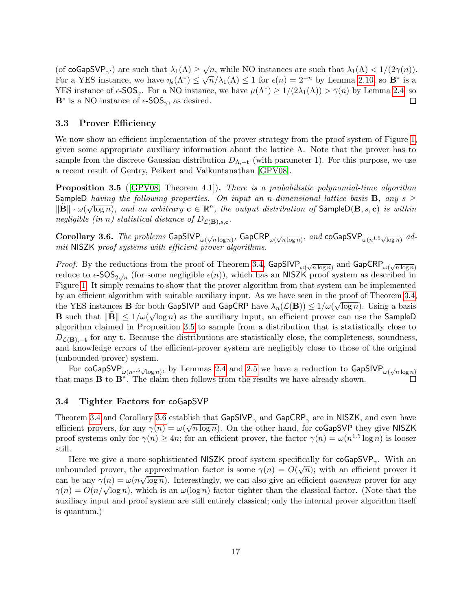(of coGapSVP<sub> $\gamma'$ </sub>) are such that  $\lambda_1(\Lambda) \ge \sqrt{n}$ , while NO instances are such that  $\lambda_1(\Lambda) < 1/(2\gamma(n))$ . For a YES instance, we have  $\eta_{\epsilon}(\Lambda^*) \leq \sqrt{n}/\lambda_1(\Lambda) \leq 1$  for  $\epsilon(n) = 2^{-n}$  by Lemma [2.10,](#page-11-2) so  $\mathbf{B}^*$  is a YES instance of  $\epsilon$ -SOS<sub>γ</sub>. For a NO instance, we have  $\mu$ (Λ<sup>\*</sup>) ≥ 1/(2λ<sub>1</sub>(Λ)) > γ(*n*) by Lemma [2.4,](#page-10-2) so  $\mathbf{B}^*$  is a NO instance of  $\epsilon$ -SOS<sub> $\gamma$ </sub>, as desired.  $\Box$ 

# <span id="page-16-0"></span>3.3 Prover Efficiency

We now show an efficient implementation of the prover strategy from the proof system of Figure [1,](#page-13-1) given some appropriate auxiliary information about the lattice  $\Lambda$ . Note that the prover has to sample from the discrete Gaussian distribution  $D_{\Lambda,-t}$  (with parameter 1). For this purpose, we use a recent result of Gentry, Peikert and Vaikuntanathan [\[GPV08\]](#page-22-12).

<span id="page-16-1"></span>**Proposition 3.5** ([\[GPV08,](#page-22-12) Theorem 4.1]). There is a probabilistic polynomial-time algorithm SampleD having the following properties. On input an n-dimensional lattice basis **B**, any  $s \geq$  $\|\tilde{\mathbf{B}}\| \cdot \omega(\sqrt{\log n})$ , and an arbitrary  $\mathbf{c} \in \mathbb{R}^n$ , the output distribution of SampleD(B, s, c) is within negligible (in n) statistical distance of  $D_{\mathcal{L}(\mathbf{B}),s,\mathbf{c}}$ .

<span id="page-16-2"></span> ${\bf Corollary 3.6.}$  The problems  ${\sf GapSIVP}_{\omega(\sqrt{n\log n})},$   ${\sf GapCRP}_{\omega(\sqrt{n\log n})},$  and  ${\sf coGapSVP}_{\omega(n^{1.5}\sqrt{\log n})}$  admit NISZK proof systems with efficient prover algorithms.

*Proof.* By the reductions from the proof of Theorem [3.4,](#page-15-0)  $\text{GapSIVP}_{\omega(\sqrt{n \log n})}$  and  $\text{GapCRP}_{\omega(\sqrt{n \log n})}$ reduce to  $\epsilon$ -SOS<sub>2 $\sqrt{n}$ </sub> (for some negligible  $\epsilon(n)$ ), which has an NISZK proof system as described in Figure [1.](#page-13-1) It simply remains to show that the prover algorithm from that system can be implemented by an efficient algorithm with suitable auxiliary input. As we have seen in the proof of Theorem [3.4,](#page-15-0)  $\sum_{i=1}^{n} X_i$ the YES instances **B** for both GapSIVP and GapCRP have  $\lambda_n(\mathcal{L}(\mathbf{B})) \leq 1/\omega(\sqrt{\log n})$ . Using a basis **B** such that  $\|\tilde{\mathbf{B}}\| \leq 1/\omega(\sqrt{\log n})$  as the auxiliary input, an efficient prover can use the SampleD algorithm claimed in Proposition [3.5](#page-16-1) to sample from a distribution that is statistically close to  $D_{\mathcal{L}(\mathbf{B}),-\mathbf{t}}$  for any **t**. Because the distributions are statistically close, the completeness, soundness, and knowledge errors of the efficient-prover system are negligibly close to those of the original (unbounded-prover) system.

For coGapSVP<sub> $\omega(n^{1.5}\sqrt{\log n})$ </sub>, by Lemmas [2.4](#page-10-2) and [2.5](#page-10-1) we have a reduction to GapSIVP $\omega(\sqrt{n\log n})$ that maps  $\bf{B}$  to  $\bf{B}^*$ . The claim then follows from the results we have already shown.

#### 3.4 Tighter Factors for coGapSVP

Theorem [3.4](#page-15-0) and Corollary [3.6](#page-16-2) establish that  $\textsf{GapSIVP}_{\gamma}$  and  $\textsf{GapCRP}_{\gamma}$  are in NISZK, and even have efficient provers, for any  $\gamma(n) = \omega(\sqrt{n \log n})$ . On the other hand, for coGapSVP they give NISZK proof systems only for  $\gamma(n) \geq 4n$ ; for an efficient prover, the factor  $\gamma(n) = \omega(n^{1.5} \log n)$  is looser still.

<span id="page-16-3"></span>Here we give a more sophisticated NISZK proof system specifically for  $\text{coGapSVP}_{\gamma}$ . With an unbounded prover, the approximation factor is some  $\gamma(n) = O(\sqrt{n})$ ; with an efficient prover it can be any  $\gamma(n) = \omega(n\sqrt{\log n})$ . Interestingly, we can also give an efficient quantum prover for any can be any  $\gamma(n) = \omega(n\sqrt{\log n})$ . Interestingly, we can also give an enicient *quantum* prover for any  $\gamma(n) = O(n/\sqrt{\log n})$ , which is an  $\omega(\log n)$  factor tighter than the classical factor. (Note that the auxiliary input and proof system are still entirely classical; only the internal prover algorithm itself is quantum.)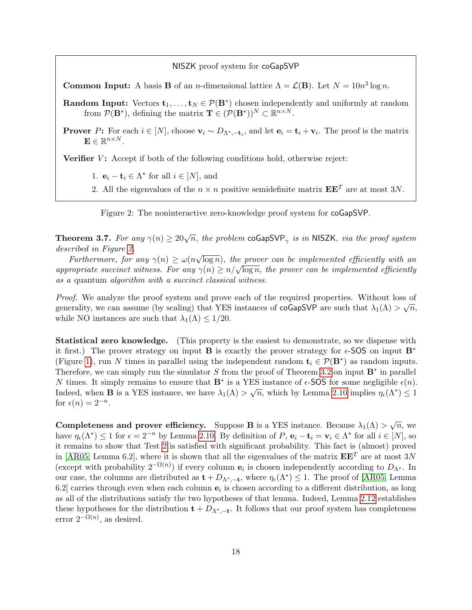NISZK proof system for coGapSVP

**Common Input:** A basis **B** of an *n*-dimensional lattice  $\Lambda = \mathcal{L}(\mathbf{B})$ . Let  $N = 10n^3 \log n$ .

- **Random Input:** Vectors  $\mathbf{t}_1, \ldots, \mathbf{t}_N \in \mathcal{P}(\mathbf{B}^*)$  chosen independently and uniformly at random from  $\mathcal{P}(\mathbf{B}^*)$ , defining the matrix  $\mathbf{T} \in (\mathcal{P}(\mathbf{B}^*))^N \subset \mathbb{R}^{n \times N}$ .
- **Prover** P: For each  $i \in [N]$ , choose  $\mathbf{v}_i \sim D_{\Lambda^*, -\mathbf{t}_i}$ , and let  $\mathbf{e}_i = \mathbf{t}_i + \mathbf{v}_i$ . The proof is the matrix  $\mathbf{E} \in \mathbb{R}^{n \times N}$ .

<span id="page-17-2"></span><span id="page-17-1"></span>Verifier  $V$ : Accept if both of the following conditions hold, otherwise reject:

1.  $\mathbf{e}_i - \mathbf{t}_i \in \Lambda^*$  for all  $i \in [N]$ , and

2. All the eigenvalues of the  $n \times n$  positive semidefinite matrix  $\mathbf{E} \mathbf{E}^T$  are at most 3N.

<span id="page-17-0"></span>Figure 2: The noninteractive zero-knowledge proof system for coGapSVP.

**Theorem 3.7.** For any  $\gamma(n) \geq 20\sqrt{n}$ , the problem coGapSVP<sub> $\gamma$ </sub> is in NISZK, via the proof system described in Figure [2.](#page-17-0) √

Furthermore, for any  $\gamma(n) \geq \omega(n)$  $\overline{\log n}$ ), the prover can be implemented efficiently with an Furthermore, for any  $\gamma(n) \geq \omega(n\sqrt{\log n})$ , the prover can be implemented efficiently with an<br>appropriate succinct witness. For any  $\gamma(n) \geq n/\sqrt{\log n}$ , the prover can be implemented efficiently as a quantum algorithm with a succinct classical witness.

*Proof.* We analyze the proof system and prove each of the required properties. Without loss of generality, we can assume (by scaling) that YES instances of  $\infty$ GapSVP are such that  $\lambda_1(\Lambda) > \sqrt{n}$ , while NO instances are such that  $\lambda_1(\Lambda) \leq 1/20$ .

Statistical zero knowledge. (This property is the easiest to demonstrate, so we dispense with it first.) The prover strategy on input **B** is exactly the prover strategy for  $\epsilon$ -SOS on input **B**<sup>\*</sup> (Figure [1\)](#page-13-1), run N times in parallel using the independent random  $\mathbf{t}_i \in \mathcal{P}(\mathbf{B}^*)$  as random inputs. Therefore, we can simply run the simulator S from the proof of Theorem [3.2](#page-13-2) on input  $\mathbf{B}^*$  in parallel N times. It simply remains to ensure that **B**<sup>\*</sup> is a YES instance of  $\epsilon$ -SOS for some negligible  $\epsilon(n)$ . Indeed, when **B** is a YES instance, we have  $\lambda_1(\Lambda) > \sqrt{n}$ , which by Lemma [2.10](#page-11-2) implies  $\eta_{\epsilon}(\Lambda^*) \leq 1$ for  $\epsilon(n) = 2^{-n}$ .

**Completeness and prover efficiency.** Suppose **B** is a YES instance. Because  $\lambda_1(\Lambda) > \sqrt{n}$ , we have  $\eta_{\epsilon}(\Lambda^*) \leq 1$  for  $\epsilon = 2^{-n}$  by Lemma [2.10.](#page-11-2) By definition of P,  $\mathbf{e}_i - \mathbf{t}_i = \mathbf{v}_i \in \Lambda^*$  for all  $i \in [N]$ , so it remains to show that Test [2](#page-17-1) is satisfied with significant probability. This fact is (almost) proved in [\[AR05,](#page-21-11) Lemma 6.2], where it is shown that all the eigenvalues of the matrix  $\mathbf{E}\mathbf{E}^T$  are at most 3N (except with probability  $2^{-\Omega(n)}$ ) if every column  $e_i$  is chosen independently according to  $D_{\Lambda^*}$ . In our case, the columns are distributed as  $\mathbf{t} + D_{\Lambda^*, -\mathbf{t}}$ , where  $\eta_{\epsilon}(\Lambda^*) \leq 1$ . The proof of [\[AR05,](#page-21-11) Lemma 6.2] carries through even when each column  $e_i$  is chosen according to a different distribution, as long as all of the distributions satisfy the two hypotheses of that lemma. Indeed, Lemma [2.12](#page-12-0) establishes these hypotheses for the distribution  $t + D_{\Lambda^*, -t}$ . It follows that our proof system has completeness error  $2^{-\Omega(n)}$ , as desired.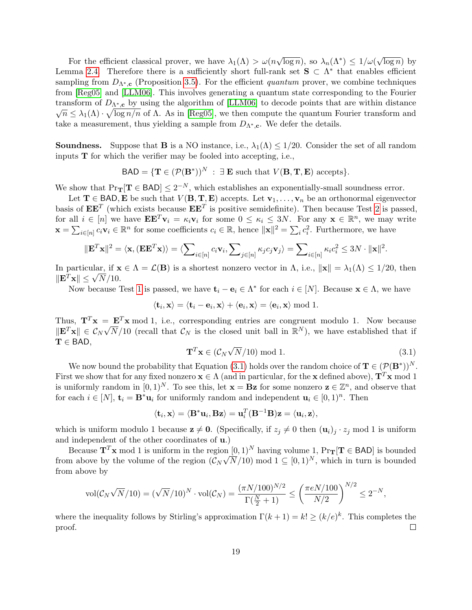For the efficient classical prover, we have  $\lambda_1(\Lambda) > \omega(n)$  $\sqrt{\log n}$ ), so  $\lambda_n(\Lambda^*) \leq 1/\omega$ √  $\overline{\log n}$ ) by Lemma [2.4.](#page-10-2) Therefore there is a sufficiently short full-rank set  $S \subset \Lambda^*$  that enables efficient sampling from  $D_{\Lambda^*,c}$  (Proposition [3.5\)](#page-16-1). For the efficient quantum prover, we combine techniques from [\[Reg05\]](#page-23-12) and [\[LLM06\]](#page-23-15). This involves generating a quantum state corresponding to the Fourier transform of  $D_{\Lambda^*,c}$  by using the algorithm of [\[LLM06\]](#page-23-15) to decode points that are within distance  $\overline{n} \leq \lambda_1(\Lambda) \cdot \sqrt{\log n/n}$  of  $\Lambda$ . As in [\[Reg05\]](#page-23-12), we then compute the quantum Fourier transform and take a measurement, thus yielding a sample from  $D_{\Lambda^*,c}$ . We defer the details.

**Soundness.** Suppose that **B** is a NO instance, i.e.,  $\lambda_1(\Lambda) \leq 1/20$ . Consider the set of all random inputs  $T$  for which the verifier may be fooled into accepting, i.e.,

$$
\mathsf{BAD}=\{\mathbf{T}\in(\mathcal{P}(\mathbf{B}^*))^N\;:\;\exists\;\mathbf{E}\;\text{such that}\;V(\mathbf{B},\mathbf{T},\mathbf{E})\;\text{accepts}\}.
$$

We show that  $Pr_{\mathbf{T}}[\mathbf{T} \in \mathsf{BAD}] \leq 2^{-N}$ , which establishes an exponentially-small soundness error.

Let  $T \in BAD, E$  be such that  $V(B, T, E)$  accepts. Let  $v_1, \ldots, v_n$  be an orthonormal eigenvector basis of  $\mathbf{E} \mathbf{E}^T$  (which exists because  $\mathbf{E} \mathbf{E}^T$  is positive semidefinite). Then because Test [2](#page-17-1) is passed, for all  $i \in [n]$  we have  $\mathbf{E} \mathbf{E}^T \mathbf{v}_i = \kappa_i \mathbf{v}_i$  for some  $0 \leq \kappa_i \leq 3N$ . For any  $\mathbf{x} \in \mathbb{R}^n$ , we may write  $\mathbf{x} = \sum_{i \in [n]} c_i \mathbf{v}_i \in \mathbb{R}^n$  for some coefficients  $c_i \in \mathbb{R}$ , hence  $\|\mathbf{x}\|^2 = \sum_i c_i^2$ . Furthermore, we have

$$
\|\mathbf{E}^T\mathbf{x}\|^2 = \langle \mathbf{x}, (\mathbf{E}\mathbf{E}^T\mathbf{x})\rangle = \langle \sum_{i\in[n]} c_i \mathbf{v}_i, \sum_{j\in[n]} \kappa_j c_j \mathbf{v}_j \rangle = \sum_{i\in[n]} \kappa_i c_i^2 \le 3N \cdot \|\mathbf{x}\|^2.
$$

In particular, if  $\mathbf{x} \in \Lambda = \mathcal{L}(\mathbf{B})$  is a shortest nonzero vector in  $\Lambda$ , i.e.,  $\|\mathbf{x}\| = \lambda_1(\Lambda) \leq 1/20$ , then In particular, if  $\mathbf{x} \|\mathbf{E}^T \mathbf{x}\| \leq \sqrt{N}/10$ .

Now because Test [1](#page-17-2) is passed, we have  $\mathbf{t}_i - \mathbf{e}_i \in \Lambda^*$  for each  $i \in [N]$ . Because  $\mathbf{x} \in \Lambda$ , we have

$$
\langle \mathbf{t}_i, \mathbf{x} \rangle = \langle \mathbf{t}_i - \mathbf{e}_i, \mathbf{x} \rangle + \langle \mathbf{e}_i, \mathbf{x} \rangle = \langle \mathbf{e}_i, \mathbf{x} \rangle \bmod 1.
$$

<span id="page-18-0"></span>Thus,  $\mathbf{T}^T \mathbf{x} = \mathbf{E}^T \mathbf{x} \mod 1$ , i.e., corresponding entries are congruent modulo 1. Now because  $\|\mathbf{E}^T\mathbf{x}\| \in C_N\sqrt{N}/10$  (recall that  $C_N$  is the closed unit ball in  $\mathbb{R}^N$ ), we have established that if  $T \in$  BAD, √

$$
\mathbf{T}^T \mathbf{x} \in (\mathcal{C}_N \sqrt{N}/10) \text{ mod } 1. \tag{3.1}
$$

We now bound the probability that Equation [\(3.1\)](#page-18-0) holds over the random choice of  $\mathbf{T} \in (\mathcal{P}(\mathbf{B}^*))^N$ . First we show that for any fixed nonzero  $\mathbf{x} \in \Lambda$  (and in particular, for the x defined above),  $\mathbf{T}^T\mathbf{x} \mod 1$ is uniformly random in  $[0,1)^N$ . To see this, let  $\mathbf{x} = \mathbf{B}\mathbf{z}$  for some nonzero  $\mathbf{z} \in \mathbb{Z}^n$ , and observe that for each  $i \in [N]$ ,  $\mathbf{t}_i = \mathbf{B}^* \mathbf{u}_i$  for uniformly random and independent  $\mathbf{u}_i \in [0,1)^n$ . Then

$$
\langle \mathbf{t}_i, \mathbf{x} \rangle = \langle \mathbf{B}^* \mathbf{u}_i, \mathbf{B} \mathbf{z} \rangle = \mathbf{u}_i^T (\mathbf{B}^{-1} \mathbf{B}) \mathbf{z} = \langle \mathbf{u}_i, \mathbf{z} \rangle,
$$

which is uniform modulo 1 because  $z \neq 0$ . (Specifically, if  $z_i \neq 0$  then  $(u_i)_i \cdot z_i \mod 1$  is uniform and independent of the other coordinates of u.)

Because  $\mathbf{T}^T \mathbf{x} \mod 1$  is uniform in the region  $[0, 1)^N$  having volume 1,  $\Pr_{\mathbf{T}}[\mathbf{T} \in \text{BAD}]$  is bounded from above by the volume of the region  $(\mathcal{C}_N\sqrt{N}/10)$  mod  $1\subseteq [0,1)^N$ , which in turn is bounded from above by

$$
\text{vol}(\mathcal{C}_N\sqrt{N}/10) = (\sqrt{N}/10)^N \cdot \text{vol}(\mathcal{C}_N) = \frac{(\pi N/100)^{N/2}}{\Gamma(\frac{N}{2}+1)} \le \left(\frac{\pi e N/100}{N/2}\right)^{N/2} \le 2^{-N},
$$

where the inequality follows by Stirling's approximation  $\Gamma(k+1) = k! \geq (k/e)^k$ . This completes the proof.  $\Box$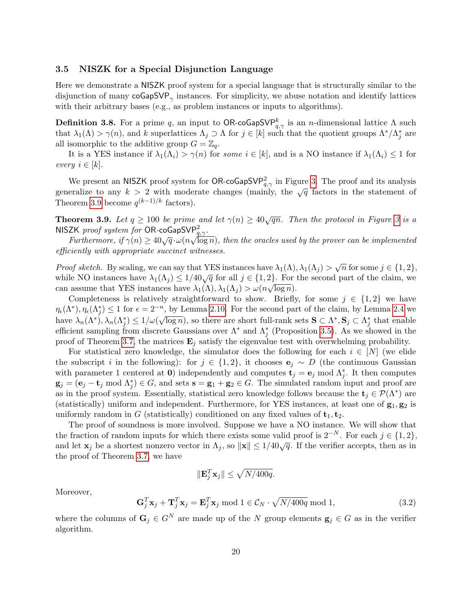# <span id="page-19-0"></span>3.5 NISZK for a Special Disjunction Language

Here we demonstrate a NISZK proof system for a special language that is structurally similar to the disjunction of many  $\mathsf{coGapSVP}_{\gamma}$  instances. For simplicity, we abuse notation and identify lattices with their arbitrary bases (e.g., as problem instances or inputs to algorithms).

<span id="page-19-2"></span>**Definition 3.8.** For a prime q, an input to  $OR$ -co $GapSVP_{q,\gamma}^k$  is an n-dimensional lattice  $\Lambda$  such that  $\lambda_1(\Lambda) > \gamma(n)$ , and k superlattices  $\Lambda_j \supset \Lambda$  for  $j \in [k]$  such that the quotient groups  $\Lambda^*/\Lambda_j^*$  are all isomorphic to the additive group  $G = \mathbb{Z}_q$ .

It is a YES instance if  $\lambda_1(\Lambda_i) > \gamma(n)$  for some  $i \in [k]$ , and is a NO instance if  $\lambda_1(\Lambda_i) \leq 1$  for every  $i \in [k]$ .

We present an NISZK proof system for OR-coGapSVP $q_{,\gamma}^2$  in Figure [3.](#page-20-0) The proof and its analysis generalize to any  $k > 2$  with moderate changes (mainly, the  $\sqrt{q}$  factors in the statement of Theorem [3.9](#page-19-1) become  $q^{(k-1)/k}$  factors).

<span id="page-19-1"></span>**Theorem [3](#page-20-0).9.** Let  $q \ge 100$  be prime and let  $\gamma(n) \ge 40\sqrt{qn}$ . Then the protocol in Figure 3 is a NISZK proof system for OR-coGapSVP<sup>2</sup><sub>9.7</sub>.

Furthermore, if  $\gamma(n) \geq 40\sqrt{q} \cdot \omega(n\sqrt{\log n})$ , then the oracles used by the prover can be implemented efficiently with appropriate succinct witnesses.

Proof sketch. By scaling, we can say that YES instances have  $\lambda_1(\Lambda)$ ,  $\lambda_1(\Lambda_j) > \sqrt{n}$  for some  $j \in \{1, 2\}$ , while NO instances have  $\lambda_1(\Lambda_j) \leq 1/40\sqrt{q}$  for all  $j \in \{1, 2\}$ . For the second part of the claim, we can assume that YES instances have  $\lambda_1(\Lambda), \lambda_1(\Lambda_j) > \omega(n\sqrt{\log n}).$ 

Completeness is relatively straightforward to show. Briefly, for some  $j \in \{1,2\}$  we have  $\eta_{\epsilon}(\Lambda^*)$ ,  $\eta_{\epsilon}(\Lambda^*) \le 1$  for  $\epsilon = 2^{-n}$ , by Lemma [2.10.](#page-11-2) For the second part of the claim, by Lemma [2.4](#page-10-2) we have  $\lambda_n(\Lambda^*)$ ,  $\lambda_n(\Lambda_j^*) \leq 1/\omega(\sqrt{\log n})$ , so there are short full-rank sets  $S \subset \Lambda^*, S_j \subset \Lambda_j^*$  that enable efficient sampling from discrete Gaussians over  $\Lambda^*$  and  $\Lambda_j^*$  (Proposition [3.5\)](#page-16-1). As we showed in the proof of Theorem [3.7,](#page-16-3) the matrices  $\mathbf{E}_j$  satisfy the eigenvalue test with overwhelming probability.

For statistical zero knowledge, the simulator does the following for each  $i \in [N]$  (we elide the subscript i in the following): for  $j \in \{1,2\}$ , it chooses  $e_j \sim D$  (the continuous Gaussian with parameter 1 centered at 0) independently and computes  $\mathbf{t}_j = \mathbf{e}_j \mod \Lambda_j^*$ . It then computes  $\mathbf{g}_j = (\mathbf{e}_j - \mathbf{t}_j \bmod \Lambda_j^*) \in G$ , and sets  $\mathbf{s} = \mathbf{g}_1 + \mathbf{g}_2 \in G$ . The simulated random input and proof are as in the proof system. Essentially, statistical zero knowledge follows because the  $\mathbf{t}_j \in \mathcal{P}(\Lambda^*)$  are (statistically) uniform and independent. Furthermore, for YES instances, at least one of  $g_1, g_2$  is uniformly random in G (statistically) conditioned on any fixed values of  $t_1, t_2$ .

The proof of soundness is more involved. Suppose we have a NO instance. We will show that the fraction of random inputs for which there exists some valid proof is  $2^{-N}$ . For each  $j \in \{1, 2\}$ , and let  $x_i$  be a shortest nonzero vector in  $\Lambda_i$ , so  $\|\mathbf{x}\| \leq 1/40\sqrt{q}$ . If the verifier accepts, then as in the proof of Theorem [3.7,](#page-16-3) we have

$$
\|\mathbf{E}_j^T \mathbf{x}_j\| \leq \sqrt{N/400q}.
$$

<span id="page-19-3"></span>Moreover,

$$
\mathbf{G}_j^T \mathbf{x}_j + \mathbf{T}_j^T \mathbf{x}_j = \mathbf{E}_j^T \mathbf{x}_j \bmod 1 \in \mathcal{C}_N \cdot \sqrt{N/400q} \bmod 1, \tag{3.2}
$$

where the columns of  $\mathbf{G}_j \in G^N$  are made up of the N group elements  $\mathbf{g}_j \in G$  as in the verifier algorithm.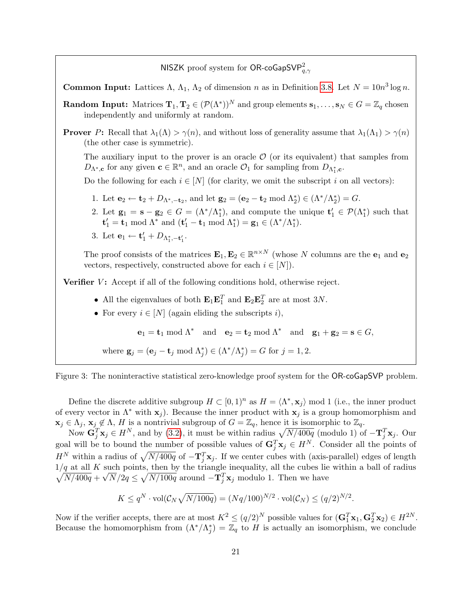NISZK proof system for OR-coGapSVP $_{q,\gamma}^2$ 

**Common Input:** Lattices  $\Lambda$ ,  $\Lambda$ <sub>1</sub>,  $\Lambda$ <sub>2</sub> of dimension *n* as in Definition [3.8.](#page-19-2) Let  $N = 10n^3 \log n$ .

- **Random Input:** Matrices  $\mathbf{T}_1, \mathbf{T}_2 \in (\mathcal{P}(\Lambda^*))^N$  and group elements  $\mathbf{s}_1, \ldots, \mathbf{s}_N \in G = \mathbb{Z}_q$  chosen independently and uniformly at random.
- **Prover** P: Recall that  $\lambda_1(\Lambda) > \gamma(n)$ , and without loss of generality assume that  $\lambda_1(\Lambda_1) > \gamma(n)$ (the other case is symmetric).

The auxiliary input to the prover is an oracle  $\mathcal{O}$  (or its equivalent) that samples from  $D_{\Lambda^*,\mathbf{c}}$  for any given  $\mathbf{c} \in \mathbb{R}^n$ , and an oracle  $\mathcal{O}_1$  for sampling from  $D_{\Lambda_1^*,\mathbf{c}}$ .

Do the following for each  $i \in [N]$  (for clarity, we omit the subscript i on all vectors):

- 1. Let  $\mathbf{e}_2 \leftarrow \mathbf{t}_2 + D_{\Lambda^*, -\mathbf{t}_2}$ , and let  $\mathbf{g}_2 = (\mathbf{e}_2 \mathbf{t}_2 \mod \Lambda_2^*) \in (\Lambda^*/\Lambda_2^*) = G$ .
- 2. Let  $\mathbf{g}_1 = \mathbf{s} \mathbf{g}_2 \in G = (\Lambda^*/\Lambda_1^*)$ , and compute the unique  $\mathbf{t}'_1 \in \mathcal{P}(\Lambda_1^*)$  such that  $\mathbf{t}'_1 = \mathbf{t}_1 \bmod \Lambda^*$  and  $(\mathbf{t}'_1 - \mathbf{t}_1 \bmod \Lambda^*_1) = \mathbf{g}_1 \in (\Lambda^*/\Lambda^*_1)$ .
- 3. Let  ${\bf e}_1 \leftarrow {\bf t}'_1 + D_{\Lambda_1^*, -{\bf t}'_1}.$

The proof consists of the matrices  $\mathbf{E}_1, \mathbf{E}_2 \in \mathbb{R}^{n \times N}$  (whose N columns are the  $\mathbf{e}_1$  and  $\mathbf{e}_2$ vectors, respectively, constructed above for each  $i \in [N]$ .

**Verifier**  $V$ : Accept if all of the following conditions hold, otherwise reject.

- All the eigenvalues of both  $\mathbf{E}_1 \mathbf{E}_1^T$  and  $\mathbf{E}_2 \mathbf{E}_2^T$  are at most 3N.
- For every  $i \in [N]$  (again eliding the subscripts i),

 $\mathbf{e}_1 = \mathbf{t}_1 \bmod \Lambda^*$  and  $\mathbf{e}_2 = \mathbf{t}_2 \bmod \Lambda^*$  and  $\mathbf{g}_1 + \mathbf{g}_2 = \mathbf{s} \in G$ ,

<span id="page-20-0"></span>where  $\mathbf{g}_j = (\mathbf{e}_j - \mathbf{t}_j \bmod \Lambda_j^*) \in (\Lambda^*/\Lambda_j^*) = G$  for  $j = 1, 2$ .

Figure 3: The noninteractive statistical zero-knowledge proof system for the OR-coGapSVP problem.

Define the discrete additive subgroup  $H \subset [0,1)^n$  as  $H = \langle \Lambda^*, \mathbf{x}_j \rangle$  mod 1 (i.e., the inner product of every vector in  $\Lambda^*$  with  $\mathbf{x}_j$ ). Because the inner product with  $\mathbf{x}_j$  is a group homomorphism and  $\mathbf{x}_j \in \Lambda_j$ ,  $\mathbf{x}_j \notin \Lambda$ , H is a nontrivial subgroup of  $G = \mathbb{Z}_q$ , hence it is isomorphic to  $\mathbb{Z}_q$ .

Now  $G_j^T \mathbf{x}_j \in H^N$ , and by [\(3.2\)](#page-19-3), it must be within radius  $\sqrt{N/400q}$  (modulo 1) of  $-\mathbf{T}_j^T \mathbf{x}_j$ . Our goal will be to bound the number of possible values of  $G_j^T x_j \in H^N$ . Consider all the points of  $H^N$  within a radius of  $\sqrt{N/400q}$  of  $-\mathbf{T}_j^T\mathbf{x}_j$ . If we center cubes with (axis-parallel) edges of length  $\frac{1}{q}$  at all K such points, then by the triangle inequality, all the cubes lie within a ball of radius  $\sqrt{N/400q} + \sqrt{N/2q} \leq \sqrt{N/100q}$  around  $-\mathbf{T}_j^T\mathbf{x}_j$  modulo 1. Then we have

$$
K \le q^N \cdot \text{vol}(\mathcal{C}_N \sqrt{N/100q}) = (Nq/100)^{N/2} \cdot \text{vol}(\mathcal{C}_N) \le (q/2)^{N/2}.
$$

Now if the verifier accepts, there are at most  $K^2 \le (q/2)^N$  possible values for  $(\mathbf{G}_1^T \mathbf{x}_1, \mathbf{G}_2^T \mathbf{x}_2) \in H^{2N}$ . Because the homomorphism from  $(\Lambda^*/\Lambda_j^*) = \mathbb{Z}_q$  to H is actually an isomorphism, we conclude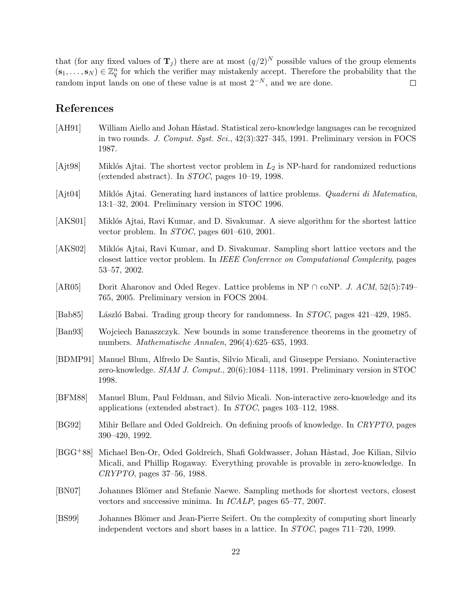that (for any fixed values of  $\mathbf{T}_j$ ) there are at most  $(q/2)^N$  possible values of the group elements  $(\mathbf{s}_1,\ldots,\mathbf{s}_N)\in\mathbb{Z}_q^n$  for which the verifier may mistakenly accept. Therefore the probability that the random input lands on one of these value is at most  $2^{-N}$ , and we are done.  $\Box$ 

# References

- <span id="page-21-2"></span>[AH91] William Aiello and Johan Håstad. Statistical zero-knowledge languages can be recognized in two rounds. J. Comput. Syst. Sci., 42(3):327–345, 1991. Preliminary version in FOCS 1987.
- <span id="page-21-6"></span>[Ajt98] Miklós Ajtai. The shortest vector problem in  $L_2$  is NP-hard for randomized reductions (extended abstract). In  $STOC$ , pages 10–19, 1998.
- <span id="page-21-5"></span>[Ajt04] Miklós Ajtai. Generating hard instances of lattice problems. Quaderni di Matematica, 13:1–32, 2004. Preliminary version in STOC 1996.
- <span id="page-21-8"></span>[AKS01] Miklós Ajtai, Ravi Kumar, and D. Sivakumar. A sieve algorithm for the shortest lattice vector problem. In STOC, pages 601–610, 2001.
- <span id="page-21-9"></span>[AKS02] Miklós Ajtai, Ravi Kumar, and D. Sivakumar. Sampling short lattice vectors and the closest lattice vector problem. In IEEE Conference on Computational Complexity, pages 53–57, 2002.
- <span id="page-21-11"></span>[AR05] Dorit Aharonov and Oded Regev. Lattice problems in NP ∩ coNP. J. ACM, 52(5):749– 765, 2005. Preliminary version in FOCS 2004.
- <span id="page-21-0"></span>[Bab85] László Babai. Trading group theory for randomness. In *STOC*, pages 421–429, 1985.
- <span id="page-21-12"></span>[Ban93] Wojciech Banaszczyk. New bounds in some transference theorems in the geometry of numbers. Mathematische Annalen, 296(4):625–635, 1993.
- <span id="page-21-4"></span>[BDMP91] Manuel Blum, Alfredo De Santis, Silvio Micali, and Giuseppe Persiano. Noninteractive zero-knowledge. SIAM J. Comput., 20(6):1084–1118, 1991. Preliminary version in STOC 1998.
- <span id="page-21-3"></span>[BFM88] Manuel Blum, Paul Feldman, and Silvio Micali. Non-interactive zero-knowledge and its applications (extended abstract). In STOC, pages 103–112, 1988.
- <span id="page-21-13"></span>[BG92] Mihir Bellare and Oded Goldreich. On defining proofs of knowledge. In CRYPTO, pages 390–420, 1992.
- <span id="page-21-1"></span>[BGG<sup>+88]</sup> Michael Ben-Or, Oded Goldreich, Shafi Goldwasser, Johan Håstad, Joe Kilian, Silvio Micali, and Phillip Rogaway. Everything provable is provable in zero-knowledge. In CRYPTO, pages 37–56, 1988.
- <span id="page-21-10"></span>[BN07] Johannes Blömer and Stefanie Naewe. Sampling methods for shortest vectors, closest vectors and successive minima. In ICALP, pages 65–77, 2007.
- <span id="page-21-7"></span>[BS99] Johannes Blömer and Jean-Pierre Seifert. On the complexity of computing short linearly independent vectors and short bases in a lattice. In STOC, pages 711–720, 1999.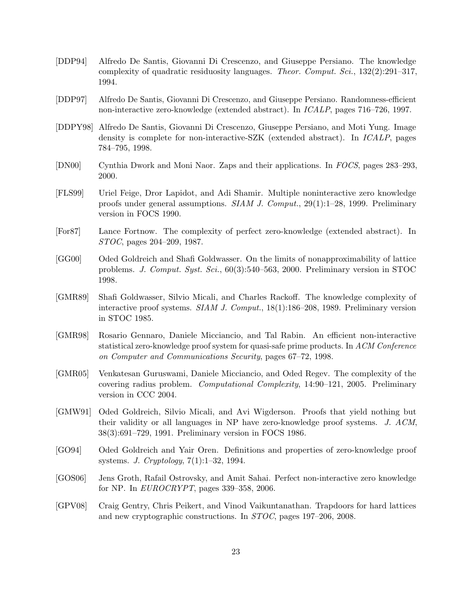- <span id="page-22-7"></span>[DDP94] Alfredo De Santis, Giovanni Di Crescenzo, and Giuseppe Persiano. The knowledge complexity of quadratic residuosity languages. Theor. Comput. Sci., 132(2):291–317, 1994.
- <span id="page-22-8"></span>[DDP97] Alfredo De Santis, Giovanni Di Crescenzo, and Giuseppe Persiano. Randomness-efficient non-interactive zero-knowledge (extended abstract). In ICALP, pages 716–726, 1997.
- <span id="page-22-6"></span>[DDPY98] Alfredo De Santis, Giovanni Di Crescenzo, Giuseppe Persiano, and Moti Yung. Image density is complete for non-interactive-SZK (extended abstract). In ICALP, pages 784–795, 1998.
- <span id="page-22-13"></span>[DN00] Cynthia Dwork and Moni Naor. Zaps and their applications. In FOCS, pages 283–293, 2000.
- <span id="page-22-4"></span>[FLS99] Uriel Feige, Dror Lapidot, and Adi Shamir. Multiple noninteractive zero knowledge proofs under general assumptions. SIAM J. Comput., 29(1):1–28, 1999. Preliminary version in FOCS 1990.
- <span id="page-22-2"></span>[For87] Lance Fortnow. The complexity of perfect zero-knowledge (extended abstract). In STOC, pages 204–209, 1987.
- <span id="page-22-10"></span>[GG00] Oded Goldreich and Shafi Goldwasser. On the limits of nonapproximability of lattice problems. J. Comput. Syst. Sci., 60(3):540–563, 2000. Preliminary version in STOC 1998.
- <span id="page-22-0"></span>[GMR89] Shafi Goldwasser, Silvio Micali, and Charles Rackoff. The knowledge complexity of interactive proof systems. SIAM J. Comput., 18(1):186–208, 1989. Preliminary version in STOC 1985.
- <span id="page-22-9"></span>[GMR98] Rosario Gennaro, Daniele Micciancio, and Tal Rabin. An efficient non-interactive statistical zero-knowledge proof system for quasi-safe prime products. In ACM Conference on Computer and Communications Security, pages 67–72, 1998.
- <span id="page-22-11"></span>[GMR05] Venkatesan Guruswami, Daniele Micciancio, and Oded Regev. The complexity of the covering radius problem. Computational Complexity, 14:90–121, 2005. Preliminary version in CCC 2004.
- <span id="page-22-1"></span>[GMW91] Oded Goldreich, Silvio Micali, and Avi Wigderson. Proofs that yield nothing but their validity or all languages in NP have zero-knowledge proof systems. J. ACM, 38(3):691–729, 1991. Preliminary version in FOCS 1986.
- <span id="page-22-3"></span>[GO94] Oded Goldreich and Yair Oren. Definitions and properties of zero-knowledge proof systems. J. Cryptology, 7(1):1–32, 1994.
- <span id="page-22-5"></span>[GOS06] Jens Groth, Rafail Ostrovsky, and Amit Sahai. Perfect non-interactive zero knowledge for NP. In EUROCRYPT, pages 339–358, 2006.
- <span id="page-22-12"></span>[GPV08] Craig Gentry, Chris Peikert, and Vinod Vaikuntanathan. Trapdoors for hard lattices and new cryptographic constructions. In STOC, pages 197–206, 2008.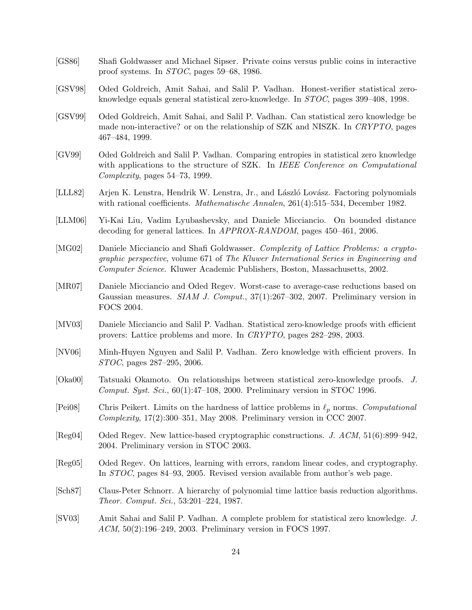- <span id="page-23-0"></span>[GS86] Shafi Goldwasser and Michael Sipser. Private coins versus public coins in interactive proof systems. In STOC, pages 59–68, 1986.
- <span id="page-23-4"></span>[GSV98] Oded Goldreich, Amit Sahai, and Salil P. Vadhan. Honest-verifier statistical zeroknowledge equals general statistical zero-knowledge. In STOC, pages 399–408, 1998.
- <span id="page-23-5"></span>[GSV99] Oded Goldreich, Amit Sahai, and Salil P. Vadhan. Can statistical zero knowledge be made non-interactive? or on the relationship of SZK and NISZK. In CRYPTO, pages 467–484, 1999.
- <span id="page-23-3"></span>[GV99] Oded Goldreich and Salil P. Vadhan. Comparing entropies in statistical zero knowledge with applications to the structure of SZK. In IEEE Conference on Computational Complexity, pages 54–73, 1999.
- <span id="page-23-8"></span>[LLL82] Arjen K. Lenstra, Hendrik W. Lenstra, Jr., and László Lovász. Factoring polynomials with rational coefficients. Mathematische Annalen, 261(4):515–534, December 1982.
- <span id="page-23-15"></span>[LLM06] Yi-Kai Liu, Vadim Lyubashevsky, and Daniele Micciancio. On bounded distance decoding for general lattices. In APPROX-RANDOM, pages 450–461, 2006.
- <span id="page-23-14"></span>[MG02] Daniele Micciancio and Shafi Goldwasser. Complexity of Lattice Problems: a cryptographic perspective, volume 671 of The Kluwer International Series in Engineering and Computer Science. Kluwer Academic Publishers, Boston, Massachusetts, 2002.
- <span id="page-23-10"></span>[MR07] Daniele Micciancio and Oded Regev. Worst-case to average-case reductions based on Gaussian measures.  $SIAM$  J. Comput.,  $37(1):267-302$ , 2007. Preliminary version in FOCS 2004.
- <span id="page-23-6"></span>[MV03] Daniele Micciancio and Salil P. Vadhan. Statistical zero-knowledge proofs with efficient provers: Lattice problems and more. In CRYPTO, pages 282–298, 2003.
- <span id="page-23-7"></span>[NV06] Minh-Huyen Nguyen and Salil P. Vadhan. Zero knowledge with efficient provers. In STOC, pages 287–295, 2006.
- <span id="page-23-1"></span>[Oka00] Tatsuaki Okamoto. On relationships between statistical zero-knowledge proofs. J. Comput. Syst. Sci.,  $60(1):47-108$ , 2000. Preliminary version in STOC 1996.
- <span id="page-23-13"></span>[Pei08] Chris Peikert. Limits on the hardness of lattice problems in  $\ell_p$  norms. Computational  $Complexity$ , 17(2):300–351, May 2008. Preliminary version in CCC 2007.
- <span id="page-23-11"></span>[Reg04] Oded Regev. New lattice-based cryptographic constructions. J. ACM, 51(6):899–942, 2004. Preliminary version in STOC 2003.
- <span id="page-23-12"></span>[Reg05] Oded Regev. On lattices, learning with errors, random linear codes, and cryptography. In STOC, pages 84–93, 2005. Revised version available from author's web page.
- <span id="page-23-9"></span>[Sch87] Claus-Peter Schnorr. A hierarchy of polynomial time lattice basis reduction algorithms. Theor. Comput. Sci., 53:201–224, 1987.
- <span id="page-23-2"></span>[SV03] Amit Sahai and Salil P. Vadhan. A complete problem for statistical zero knowledge. J. ACM, 50(2):196–249, 2003. Preliminary version in FOCS 1997.